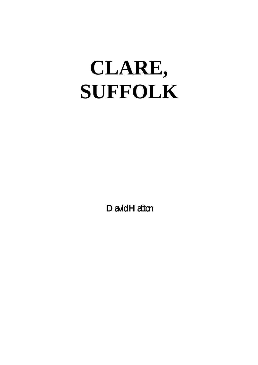# **CLARE, SUFFOLK**

David Hatton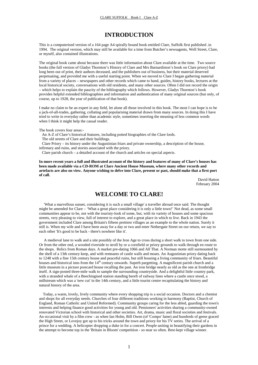# **INTRODUCTION**

This is a computerised version of a 164 page A4 spirally bound book entitled Clare, Suffolk first published .in 1994. The original version, which may still be available for a time from Butcher's newsagents, Well Street, Clare, or myself, also contained illustrations.

The original book came about because there was little information about Clare available at the time. Two source books (the full version of Gladys Thornton's History of Clare and Mrs Barnardiston's book on Clare priory) had long been out of print, their authors deceased, and the publishers out of business, but their material deserved perpetuating, and provided me with a useful starting point. When we moved to Clare I began gathering material from a variety of places – newspapers and other records which came to hand, guides, history books, lectures at the local historical society, conversations with old residents, and many other sources. Often I did not record the origin – which helps to explain the paucity of the bibliography which follows. However, Gladys Thornton's book provides helpful extended bibliographies and information and authentication of many original sources (but only, of course, up to 1928, the year of publication of that book).

I make no claim to be an expert in any field, let alone all those involved in this book. The most I can hope is to be a jack-of-all-trades, gathering, collating and popularising material drawn from many sources. In doing this I have tried to write in everyday rather than academic style, sometimes inserting the meaning of less common words when I think it might help the casual reader.

The book covers four areas:-

An A-Z of Clare's historical features, including potted biographies of the Clare lords.

The old streets of Clare and their buildings.

 Clare Priory – its history under the Augustinian friars and private ownership, a description of the house, infirmary and ruins, and stories associated with the priory.

Clare parish church – a detailed account of the church and articles on special aspects.

**In more recent years a full and illustrated account of the history and features of many of Clare's houses has been made available via a CD-ROM at Clare Ancient House Museum, where many other records and artefacts are also on view. Anyone wishing to delve into Clare, present or past, should make that a first port of call.** 

> David Hatton February 2004

# **WELCOME TO CLARE!**

 'What a marvellous sunset, considering it is such a small village' a traveller abroad once said. The thought might be amended for Clare – 'What a great place considering it is only a little town!' Not dead, as some small communities appear to be, not with the touristy-look of some, but, with its variety of houses and some spacious streets, very pleasing to view, full of interest to explore, and a great place in which to live. Back in 1943 the government included Clare among Britain's fifteen prettiest villages as an example to the whole nation. Surely it still is. When my wife and I have been away for a day or two and enter Nethergate Street on our return, we say to each other 'It's good to be back - there's nowhere like it'.

 A medieval lane to walk and a site possibly of the Iron Age to cross during a short walk to town from one side. Or from the other end, a wooded riverside to stroll by or a cornfield or priory grounds to walk through en route to the shops. Relics from Roman days. A market pre-dating 1066 and All That. A Norman motte still surmounted by the shell of a 13th century keep, and with remnants of castle walls and moats. An Augustinian priory dating back to 1248 with a fine 15th century house and peaceful ruins, but still housing a living community of friars. Beautiful houses and historical inns from the  $14<sup>th</sup>$  century onwards. Superb pargetting. A magnificent parish church and a little museum in a picture postcard house recalling the past. An iron bridge nearly as old as the one at Ironbridge itself. A sign-posted three-mile walk to sample the surrounding countryside. And a delightful little country park, with a stranded whale of a Beechingised station standing bereft of railway lines where a castle once stood, a millstream which was a 'new cut' in the 14th century, and a little tourist centre recapitulating the history and natural history of the area.

 Today, a warm, lovely, lively community where every shopping trip is a social occasion. Doctors and a chemist and shops for all everyday needs. Churches of four different traditions working in harmony (Baptist, Church of England, Roman Catholic and United Reformed). Community groups caring for the less abled, guarding the town's interests and helping finance good activities for young and old. Pensioners' activities sharing a community-owned renovated Victorian school with historical and other societies. Art, drama, music and floral societies and festivals. An occasional visit by a film crew - as when Ian Holm, Bill Owen (of 'Compo' fame) and hundreds of geese graced the High Street, or Lovejoy got up to his tricks around the town and priory for his TV series. The arrival of a prince for a wedding. A helicopter dropping a duke in for a concert. People uniting in beautifying their gardens in the attempt to become top in the 'Britain in Bloom' competition - so near so often. Best-kept village winner.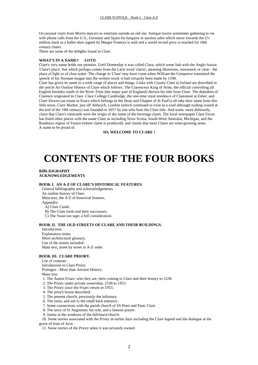Occasional visits from Morris dancers to entertain outside an old inn. Antique lovers sometimes gathering to vie with phone calls from the U.S., Germany and Spain for bargains in auction sales which move towards the £1/2 million mark as a ballet shoe signed by Margot Fonteyn is sold and a world record price is reached for 18th century chairs.

These are some of the delights found in Clare.

#### **WHAT'S IN A NAME? LOTS!**

Clare's very name holds out promise. Until Domesday it was called Clara, which some link with the Anglo-Saxon 'Clara's place', but which perhaps comes from the Latin word 'clarus', meaning illustrious, renowned, or clear - the place of light or of clear water. The change to 'Clare' may have come when William the Conqueror translated the speech of his Norman tongue into the written word: it had certainly been made by 1198.

Clare has given its name to a wide range of places and things. Links with County Clare in Ireland are described in the article An Outline History of Clare which follows. The Clarenceux King of Arms, the official controlling all English heraldry south of the River Trent (the major part of England) derives his title from Clare. The dukedom of Clarence originated in Clare. Clare College Cambridge, the one-time royal residence of Claremont at Esher, and Clare Downs (an estate in Essex which belongs to the Dean and Chapter of St Paul's) all take their name from this little town. Clare Market, just off Aldwych, London (which continued to exist as a road although trading ceased at the end of the 19th century) was founded in 1657 by one who bore the Clare title. And some, more dubiously, claim that Clare's vineyards were the origin of the name of the beverage claret. The local newspaper Clare Focus has listed other places with the name Clare as including Nova Scotia, South-West Australia, Michigan, and the Bordeaux region of France (where claret is produced), and claims that most Clares are wine-growing areas. A name to be proud of.

#### **SO, WELCOME TO CLARE !**

# **CONTENTS OF THE FOUR BOOKS**

#### **BIBLIOGRAPHY ACKNOWLEDGEMENTS**

#### **BOOK I. AN A-Z OF CLARE'S HISTORICAL FEATURES**:

 General bibliography and acknowledgements. An outline history of Clare. Main text, the A-Z of historical features. Appendix: A) Clare Castle. B) The Clare lords and their successors. C) The Swan inn sign: a full consideration.

#### **BOOK II. THE OLD STREETS OF CLARE AND THEIR BUILDINGS.**

 Introduction. Explanatory notes. Short architectural glossary. List of the streets included. Main text, street by street in A-Z order.

#### **BOOK III. CLARE PRIORY.**

 List of contents Introduction to Clare Priory Prologue - More than Ancient History. Main text: 1. The Austin Friars: who they are, their coming to Clare and their history to 1538. 2. The Priory under private ownership, 1539 to 1953. 3. The Priory since the Friars' return in 1953. 4. The prior's house described.

- 5. The present church, previously the infirmary.
- 6. The ruins, and out to the small back entrance.
- 7. Some connections with the parish church of SS Peter and Paul, Clare.
- 8. The story of St Augustine, his rule, and a famous prayer.
- 9. Saints in the windows of the Infirmary/church.

 10. Some stories associated with the Priory in earlier days including the Clare legend and the dialogue at the grave of Joan of Acre.

11. Some stories of the Priory when it was privately owned.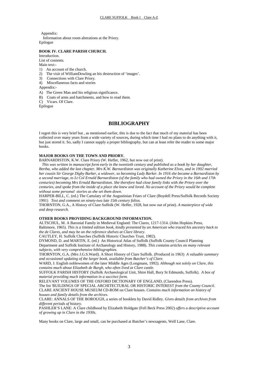Appendix: Information about room alterations at the Priory. Epilogue

# **BOOK IV. CLARE PARISH CHURCH.**

Introduction.

List of contents. Main text:-

- 1) An account of the church.
- 2) The visit of WilliamDowling an his destruction of 'images'.
- 3) Connections with Clare Priory.
- 4) Miscellaneous facts and stories

Appendix:-

- A) The Green Man and his religious significance.
- B) Coats of arms and hatchments, and how to read them.
- C) Vicars. Of Clare.

Epilogue

# **BIBLIOGRAPHY**

I regret this is very brief but , as mentioned earlier, this is due to the fact that much of my material has been collected over many years from a wide variety of sources**,** during which time I had no plans to do anything with it, but just stored it. So, sadly I cannot supply a proper bibliography, but can at least refer the reader to some major books.

#### **MAJOR BOOKS ON THE TOWN AND PRIORY.**

BARNARDISTON, K.W. Clare Priory (W. Heffer, 1962, but now out of print).

 *This was written in manuscript form early in the twentieth century and published as a book by her daughter, Bertha, who added the last chapter. Mrs K.W. Barnardiston was originally Katherine Elves, and in 1902 married her cousin Sir George Digby Barker, a widower, so becoming Lady Barker. In 1916 she became a Barnardiston by a second marriage, to Lt Col Ernald Barnardiston (of the family who had owned the Priory in the 16th and 17th centuries) becoming Mrs Ernald Barnardiston. She therefore had close family links with the Priory over the centuries, and spoke from the inside of a place she knew and loved. No account of the Priory would be complete without some personal stories as she set them down*.

HARPER-BILL, C. (ed.) The Cartulary of the Augustinian Friars of Clare (Boydell Press/Suffolk Records Society 1991) *Text and comment on ninety-two late 15th century folios.*

THORNTON, G.A., A History of Clare Suffolk (W. Heffer, 1928, but now out of print). *A masterpiece of wide and deep research.* 

# **OTHER BOOKS PROVIDING BACKGROUND INFORMATION.**

ALTSCHUL, M. A Baronial Family in Medieval England: The Clares, 1217-1314. (John Hopkins Press, Baltimore, 1965). *This is a limited edition book, kindly presented by an American who traced his ancestry back to the de Clares, and may be on the reference shelves at Clare library*.

CAUTLEY, H. Suffolk Churches (Suffolk Historic Churches Trust, 1982).

DYMOND, D. and MARTIN, E. (ed.) An Historical Atlas of Suffolk (Suffolk County Council Planning Department and Suffolk Institute of Archaeology and History, 1988). *This contains articles on many relevant subjects, with very comprehensive bibliographies.* 

THORNTON, G.A. (Mrs J.G.S.Ward). A Short History of Clare Suffolk. (Produced in 1963) *A valuable summary and occasional updating of the larger book, available from Butcher's of Clare.* 

WARD, J. English noblewomen of the later Middle Ages (Longmans, 1992). *Although not solely on Clare, this contains much about Elizabeth de Burgh, who often lived at Clare castle.* 

SUFFOLK PARISH HISTORY (Suffolk Archaeological Unit, Shire Hall, Bury St Edmunds, Suffolk). *A box of material providing much information in a succinct form.* 

RELEVANT VOLUMES OF THE OXFORD DICTIONARY OF ENGLAND, (Clarendon Press). The list 'BUILDINGS OF SPECIAL ARCHITECTURAL OR HISTORIC INTEREST *from the County Council.*  CLARE ANCIENT HOUSE MUSEUM CD-ROM on Clare houses. *Contains much information on history of houses and family details from the archives.*

CLARE: ANNALS OF THE BOROUGH, a series of booklets by David Ridley. *Gives details from archives from different periods of history.*

PASHLER'S LANE: A Clare childhood by Elizabeth Holdgate (Fell Beck Press 2002) *offers a descriptive account of growing up in Clare in the 1930s.* 

Many books on Clare, large and small, can be purchased at Butcher's newsagents, Well Lane, Clare.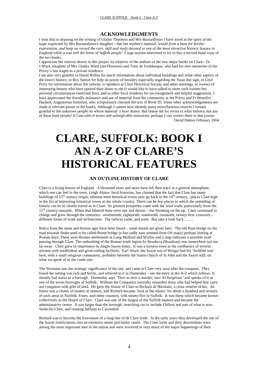# **ACKNOWLEDGMENTS**

I trust that in drawing on the writing of Gladys Thornton and Mrs Barnardiston I have acted in the spirit of the hope expressed by Mrs Barnardiston's daughter - that her mother's material *'would form a base for further exploration, and keep on record the care, skill and study devoted to one of the most attractive historic houses in England while it was still the home of Suffolk people'.* I urge anyone interested to try to buy a second-hand copy of the two books.

I appreciate the interest shown in this project by relatives of the authors of the two major books on Clare:- Dr J.Ward, daughter of Mrs Gladys Ward (neeThornton) and Tony de Fonblanque, who had his own memories of the Priory's last stages as a private residence.

I am also very grateful to David Ridley for much information about individual buildings and some other aspects of the town's history, to Roy Sutton for help on points of heraldry especially regarding the Swan Inn sign, to Geof Perry for information about the railway, to speakers at Clare Historical Society and other meetings, to owners of interesting houses who have opened their doors to me (I would like to have talked to more such owners but personal circumstances restricted this), and to other local residents for encouragement and helpful suggestions. I have appreciated the friendly assistance and use of material from the community at the Priory and Fr Benedict Hackett, Augustinian historian, who scrupulously checked the text of Book III. Some other acknowledgements are made at relevant points in the books. Although I cannot now identify many miscellaneous sources I remain grateful to the unknown people on whose material I have drawn. But blame me for errors in what follows, not any of these kind people! If I am told of errors and unforgivable omissions, perhaps I can correct them in due course. David Hatton February 2004

# **CLARE, SUFFOLK: BOOK I AN A-Z OF CLARE'S HISTORICAL FEATURES**

# **AN OUTLINE HISTORY OF CLARE**

Clare is a living history of England. A thousand years and more have left their trace in a general atmosphere, which one can feel in the town. Leigh Alston, local historian, has claimed that the fact that Clare has many buildings of  $13<sup>th</sup>$  century origin, whereas most historical towns only go back to the  $14<sup>th</sup>$  century, places Clare high in the list of interesting historical towns in the whole country. There can be few places in which the unfolding of history can be so clearly traced as in Clare. Its greatest prosperity came with the wool trade, particularly from the 15<sup>th</sup> century onwards. When that faltered there were ups and downs – but finishing on the up. Clare continued to change and grow through the centuries: seventeenth, eighteenth, nineteenth, twentieth, twenty-first centuries – different forms of work and architecture. The railway came, and went. But take a look back……..

Relics from the stone and bronze ages have been found – some details are given later. The old Rum bridge on the road towards Stoke used to be called Rome bridge (a fact sadly now omitted from OS maps) perhaps hinting at Roman days. There were Roman settlements at Long Melford and Wixloe and a map indicates a possible road passing through Clare. The ambushing of the Roman ninth legion by Boudicca (Boadicea) was somewhere not too far away. Clare grew in importance in Anglo-Saxon times. It was a fortress town at the confluence of several streams with established and good trading facilities. Earl Aluric the Saxon son of Wisgar had his 'fortified seat' here, with a small religious community, probably between the Saxon church of St John and the Saxon mill, on what we speak of as the castle site.

The Normans saw the strategic significance of the site, and came to Clare very soon after the conquest. They found the setting was rich and fertile, and referred to it in Domesday – see the entry in the A-Z which follows. It already had status as a borough. Domesday says *'Then as now a market; now 43 burgesses'* and speaks of it as one of the seven boroughs of Suffolk. William the Conqueror normally rewarded those who had helped him carry out conquests with gifts of land. He gave the Honor of Clare to Richard de Bienfaite, a close relative of his. An honor was a cluster of estates or manors, and Richard became 'lord of the manor' for about a hundred and seventy of such areas in Norfolk, Essex, and other counties, with ninety-five in Suffolk. It was these which became known collectively as the Honor of Clare. Clare was one of the largest of the Suffolk manors and became the administrative centre. It was larger than the borough, stretching out to include Chilton and part of what is now Stoke-by-Clare, and running halfway to Cavendish.

Richard was to become the forerunner of a long line of de Clare lords. In the early years they developed the site of the Saxon fortifications into an extensive motte and bailey castle. The Clare lords and their descendants were among the most important men in the nation and were involved in very many of the major happenings of their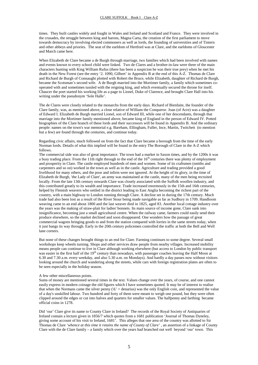times. They built castles widely and fought in Wales and Ireland and Scotland and France. They were involved in the crusades, the struggle between king and barons, Magna Carta, the creation of the first parliament to move towards democracy by involving elected commoners as well as lords, the founding of universities and of Tintern and other abbeys and priories. The seat of the earldom of Hertford was at Clare, and the earldoms of Gloucester and March came here.

When Elizabeth de Clare became a de Burgh through marriage, two families which had been involved with names and events known to every school child were linked. Two de Clares and a brother-in-law were three of the main characters hunting with King William Rufus (there has been a suspicion he was their true prey) when he met his death in the New Forest (see the entry '2. 1090, Gilbert' in Appendix B at the end of this A-Z. Thomas de Clare and Richard de Burgh of Connaught plotted with Robert the Bruce, while Elizabeth, daughter of Richard de Burgh, became the Scotsman's second wife. A de Burgh married into the Mortimer family, a family which sometimes cooperated with and sometimes tussled with the reigning king, and which eventually secured the throne for itself. Chaucer the poet started his working life as a page to Lionel, Duke of Clarence, and brought Clare Hall into his writing under the pseudonym 'Sole Halle'.

The de Clares were closely related to the monarchs from the early days. Richard of Bienfaite, the founder of the Clare family, was, as mentioned above, a close relative of William the Conqueror. Joan (of Acre) was a daughter of Edward I. Elizabeth de Burgh married Lionel, son of Edward III, while one of her descendants, through that marriage into the Mortimer family mentioned above, became king of England in the person of Edward IV. Potted biographies of the Clare branch of these lords and their successors will be found in Appendix B. And the ordinary people: names on the town's war memorial e.g. Bareham, Ellingham, Fuller, Ince, Martin, Twitchett (to mention but a few) are found through the centuries, and continue today.

Regarding civic affairs, much followed on from the fact that Clare became a borough from the time of the early Norman lords. Details of what this implied will be found in the entry The Borough of Clare in the A-Z which follows.

The commercial side was also of great importance. The town had a market in Saxon times, and by the 1200s it was a busy trading place. From the 11th right through to the end of the  $16<sup>th</sup>$  centuries there was plenty of employment and prosperity in Clare. The castle employed hundreds of men and women. Some of its craftsmen (smiths and carpenters and so on) worked in the town as well as in the castle. Agriculture and trading provided a good livelihood for many others, and the poor and infirm were not ignored. At the height of its glory, in the time of Elizabeth de Burgh, 'the Lady of Clare', an army was maintained at the castle, many of the men being recruited locally. From the late 13th century onwards Clare was closely associated with the Suffolk woollen industry, and this contributed greatly to its wealth and importance. Trade increased enormously in the 15th and 16th centuries, helped by Flemish weavers who settled in the district leading to East Anglia becoming the richest part of the country, with a main highway to London running through Clare. A decline set in during the 17th century. Much trade had also been lost as a result of the River Stour being made navigable as far as Sudbury in 1709. Handloom weaving came to an end about 1800 and the last weaver died in 1825, aged 83. Another local cottage industry over the years was the making of straw-plait for ladies' bonnets. Its main source of income gone, Clare sank into insignificance, becoming just a small agricultural centre. When the railway came, farmers could easily send their produce elsewhere, so the market declined and soon disappeared. One wonders how the passage of great commercial wagons bringing goods to and from the station compared with lorries in the same streets today, when it just bangs its way through. Early in the 20th century policemen controlled the traffic at both the Bell and Well lane corners.

But none of these changes brought things to an end for Clare. Farming continues to some degree. Several small workshops keep wheels turning. Shops and other services draw people from nearby villages. Increased mobility means people can continue to live in Clare although working elsewhere (but access to London by public transport was easier in the first half of the 19<sup>th</sup> century than nowadays, with passenger coaches leaving the Half Moon at 6.30 and 7.30 a.m. every weekday, and also 5.30 a.m. on Mondays). And hardly a day passes now without visitors looking around the church and wandering along the streets, while cars with foreign registration plates are often to be seen especially in the holiday season.

#### A few other miscellaneous points.

Sums of money are mentioned several times in the text. Values change over the years, of course, and one cannot easily express in modern coinage the old figures which I have sometimes quoted. It may be of interest to realise that when the Normans came the silver penny ('d.' = denarius) was the only English coin, and represented the value of a day's unskilled labour. Two hundred and forty of them were meant to weigh one pound, but they were often clipped around the edges or cut into halves and quarters for smaller values. The halfpenny and farthing became official coins in 1278.

Did 'our' Clare give its name to County Clare in Ireland? The records of the Royal Society of Antiquaries of Ireland contain a lecture given in 1856/7 which quotes from a 1681 publication 'Journal of Thomas Dyneley, giving some account of his visit to Ireland, 1681'. This alleges that one area of the country was allotted to Sir Thomas de Clare *'whence at this time it retains the name of County of Clare'* , an assertion of a linkage of County Clare with the de Clare family – a family which over the years had branched out well beyond 'our' town. This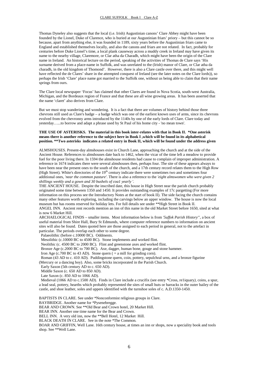Thomas Dyneley also suggests that the local (i.e. Irish) Augustinian canons' Clare Abbey might have been founded by the Lionel, Duke of Clarence, who is buried at our Augustinian friars' priory – but this cannot be so because, apart from anything else, it was founded in 1189, sixty years before the Augustinian friars came to England and established themselves locally, and also the canons and friars are not related. In fact, probably for centuries before Duke Lionel's time, a local plank causeway across a muddy creek in Ireland may have given its name to the nearby village, Claremore, or Clar atha da Charadh, which might have been the origin of the Clare name in Ireland. An historical lecture on the period, speaking of the activities of Thomas de Clare says 'His surname derived from a place-name in Suffolk, and was unrelated to the (Irish) manor of Clare, or Clar atha da charadh, in the old kingdom of Thomond'. However, there is also a Clare castle over there, and this might well have reflected the de Clares' share in the attempted conquest of Ireland (see the later notes on the Clare lords)), so perhaps the Irish 'Clare' place name got married to the Suffolk one, without us being able to claim that their name springs from ours.

The Clare local newspaper 'Focus' has claimed that other Clares are found in Nova Scotia, south-west Australia, Michigan, and the Bordeaux region of France and that these are all wine growing areas. It has been asserted that the name 'claret' also derives from Clare.

But we must stop wandering and wondering. It is a fact that there are volumes of history behind those three chevrons still used as Clare's badge – a badge which was one of the earliest known uses of arms, since its chevrons evolved from the chevronny arms introduced by the 1140s by one of the early lords of Clare. Clare today and yesterday…...to borrow and adapt a phrase used by St Paul of his home city - 'no mean town'.

#### **THE USE OF ASTERISKS. The material in this book inter-relates with that in Book II. \*One asterisk means there is another reference to the subject here in Book I ,which will be found in its alphabetical position. \*\*Two asterisks indicates a related entry in Book II, which will be found under the address given**

ALMSHOUSES. Present-day almshouses exist in Church Lane, approaching the church and at the side of the Ancient House. References to almshouses date back to 1462, when the vicar of the time left a meadow to provide fuel for the poor living there. In 1594 the almshouse residents had cause to complain of improper administration. A reference in 1674 indicates there were several almshouses then, perhaps four. The site of these appears always to have been near the present ones to the south of the church, and a 17th century record relates them to the High Row (High Street). White's directories of the 19<sup>th</sup> century indicate there were sometimes two and sometimes four additional ones, *'near the common pasture'*. There is also a reference to the *'eight almswomen who were given 2 shillings weekly and a gown and 30 bushels of coa1 yearly '.* 

THE ANCIENT HOUSE. Despite the inscribed date, this house in High Street near the parish church probably originated some time between 1350 and 1450. It provides outstanding examples of 17c pargetting (For more information on this process see the Introductory Notes at the start of book II). The side facing the church contains many other features worth exploring, including the carvings below an upper window. The house is now the local museum but has rooms reserved for holiday lets. For full details see under \*\*High Street in Book II. ANGEL INN. Ancient rent records mention an inn of this name in the old Market Street before 1650, sited at what

is now 6 Market Hill.

ARCHAELOGICAL FINDS – smaller items. Most information below is from *'5uffok Parish History'*', a box of useful material from Shire Hall, Bury St Edmunds, where computer reference numbers to information on ancient sites will also be found. Dates quoted here are those assigned to each period in general, not to the artefact in particular. The periods overlap each other to some degree.

Palaeolithic (before c.10000 BC). Oddments.

Mesolithic (c.10000 BC to 4500 BC). Stone implements and worked flint.

Neolithic (c. 4500 BC to 2000 BC). Flint and greenstone axes and worked flint.

Bronze Age (c.2000 BC to 700 BC). Axe, dagger, human bone, gouge and stone hammer.

Iron Age (c.700 BC to 43 AD). Stone quern ( $=$  a mill for grinding corn).

Roman (43 AD to c. 410 AD). Puddingstone quern, coin, pottery, sepulchral urns, and a bronze figurine

(Mercury or a dancing boy). Also, some bricks incorporated in the Parish Church.

 Early Saxon (5th century AD to c. 650 AD). Middle Saxon (c. 650 AD to 850 AD).

Late Saxon (c. 850 AD to 1066 AD).

 Medieval (1066 AD to c.1500 AD). Finds in Clare include a crucifix (see entry \*Cross, re1iquary*),* coins, a spur, a lead seal, pottery, hearths which probably represented the sites of small huts or barracks in the outer bailey of the castle, and shoe leather, soles and uppers identified with the turnshoe soles of c. A.D.1350-1450.

BAPTISTS IN CLARE. See under \*Nonconformist religious groups in Clare*.* 

BAYBRIDGE. Another name for \*Pysenebregge*.* 

BEAR AND CROWN. See \*\*Old Bear and Crown hotel, 20 Market Hill.

BEAR INN. Another one time name for the Bear and Crown.

BELL INN. A very old inn, now the \*\*Bell Hotel, 12 Market Hill.

BLACK DEATH IN CLARE. See in the note \*The Common*.* 

BOAR AND GRIFFIN, Well Lane. 16th century house, at times an inn or shops, now a speciality book and tools shop. See \*\*Well Lane.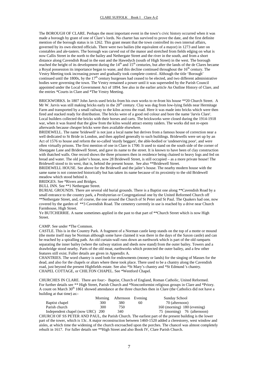The BOROUGH OF CLARE. Perhaps the most important event in the town's civic history occurred when it was made a borough by grant of one of Clare's lords. No charter has survived to prove the date, and the first definite mention of the borough status is in 1262. This grant meant that the town controlled its own internal affairs, governed by its own elected officials. There were two bailies (the equivalent of a mayor) in 1273 and later on constables and ale-tasters. The borough was carved out of the manor and stretched from fields edging on what is now Callis Street in the north to the bailey and Nethergate Street and the river in the south, and from a short distance along Cavendish Road in the east and the Hawedych (south of High Street) in the west. The borough reached the height of its development during the 14<sup>th</sup> and 15<sup>th</sup> centuries, but after the lands of the de Clares became a Royal possession its importance began to wane, and this decline continued throughout the 16<sup>th</sup> century. The Vestry Meeting took increasing power and gradually took complete control. Although the title 'Borough' continued until the 1800s, by the  $17<sup>th</sup>$  century burgesses had ceased to be elected, and two different administrative bodies were governing the town. The Vestry remained a power until it was superseded by the Parish Council appointed under the Local Government Act of 1894. See also in the earlier article An Outline History of Clare, and the entries \*Courts in Clare and \*The Vestry Meeting.

BRICKWORKS. In 1807 John Jarvis used bricks from his own works to re-front his house \*\*20 Church Street. A Mr W. Jarvis was still making bricks early in the  $20<sup>th</sup>$  century. Clay was dug from low-lying fields near Hermitage Farm and transported by a small railway to the kilns across the road. Here it was made into bricks which were then fired and stacked ready for distribution. The bricks were of a good red colour and bore the name 'Jarvis Clare'. Local builders collected the bricks with their horses and carts. The brickworks were closed during the 1914-1918 war, when it was feared that the glow from the kilns would attract enemy raiders. The works did not re-open afterwards because cheaper bricks were then available elsewhere.

BRIDEWELL. The name 'bridewell' is not just a local name but derives from a famous house of correction near a well dedicated to St Bride in London, and then applied generally to such buildings. Bridewells were set up by an Act of 1576 to house and reform the so-called 'sturdy beggars', the able-bodied or 'undeserving poor', and were often virtually prisons. The first mention of one in Clare is 1700. It used to stand on the south side of the corner of Sheepgate Lane and Bridewell Street, and gave its name to the street. It is known to have been of clay construction with thatched walls. One record shows the three prisoners then in residence being chained to heavy logs and fed on bread and water. The old jailer's house, now 28 Bridewell Street, is still occupied – as a more private house! The Bridewell stood to its west, that is, behind the present house. See also \*\*Bridewell Street.

BRIDEWELL HOUSE. See above for the Bridewell and the jailer's house. The nearby modern house with the same name is not connected historically but has taken its name because of its proximity to the old Bridewell meadow which stood behind it.

BRIDGES. See \*Rivers and Bridges.

BULL INN. See \*\*1 Nethergate Street*.*

BURIAL GROUNDS. There are several old burial grounds. There is a Baptist one along \*\*Cavendish Road by a small entrance to the country park, a Presbyterian or Congregational one by the United Reformed Church off \*\*Nethergate Street, and, of course, the one around the Church of St Peter and St Paul. The Quakers had one, now covered by the garden of \*\*3 Cavendish Road. The cemetery currently in use is reached by a drive near Church Farmhouse, High Street.

Ye BUTCHERRIE. A name sometimes applied in the past to that part of \*\*Church Street which is now High Street.

#### CAMP. See under \*The Common.

CASTLE. This is in the Country Park. A fragment of a Norman castle keep stands on the top of a motte or mound (the motte itself may be Norman although some have claimed it was there in the days of the Saxon castle) and can be reached by a spiralling path. An old curtain-wall runs down an earthwork which is part of the old ramparts separating the inner bailey (where the railway station and sheds now stand) from the outer bailey. Towers and a drawbridge stood nearby. Parts of the old moat, earthworks which protected the outer bailey, and a few other features still exist. Fuller details are given in Appendix A.

CHANTRIES. The word chantry is used both for endowments (money or lands) for the singing of Masses for the dead, and also for the chapels or altars where these took place. There used to be a chantry along the Cavendish road, just beyond the present Highfields estate. See also \*St Mary's chantry and \*St Edmund 's chantry*.*  CHAPEL COTTAGE, or CHILTON CHAPEL. See \*Wentford Chapel.

CHURCHES IN CLARE. There are four:- Baptist, Church of England, Roman Catholic, United Reformed. For further details see *\*\** High Street, Parish Church and \*Nonconformist religious groups in Clare and \*Priory*.*  A count on March 30<sup>th</sup> 1861 showed attendance at the three churches then in Clare (the Catholics did not have a building at that time) as:-

|                                  |     | Morning Afternoon Evening |    | <b>Sunday School</b>                 |
|----------------------------------|-----|---------------------------|----|--------------------------------------|
| Baptist chapel                   | 300 | 380                       | 60 | 70 (afternoon)                       |
| Parish church                    | 300 | 750                       |    | $160 \text{ (moving)}$ 180 (evening) |
| Independent chapel (now URC) 200 |     | 340                       |    | 75 (morning) 76 (afternoon)          |

CHURCH OF SS PETER AND PAUL, the Parish Church. The earliest part of the present building is the lower part of the tower, which is 13c. A major reconstruction between 1460-1520 added a clerestorey, west window and aisles, at which time the widening of the church encroached upon the porches. The chancel was almost completely rebuilt in 1617. For fuller details see \*\*High Street and also Book IV, Clare Parish Church.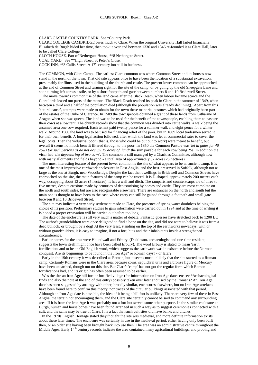CLARE CASTLE COUNTRY PARK. See \*Country Park.

CLARE COLLEGE CAMBRIDGE owes much to Clare. When the original University Hall failed financially, Elizabeth de Burgh bided her time, then took it over and between 1336 and 1346 re-founded it as Clare Hall, later to be called Clare College.

CLOTH HOUSE*.* Part of Nethergate House, \*\*8 Nethergate Street.

COAL YARD. See \*\*High Street, St Peter's Close.

COCK INN, \*\*3 Callis Street. A  $17<sup>th</sup>$  century inn still in business.

The COMMON, with Clare Camp. The earliest Clare common was where Common Street and its houses now stand in the north of the town. That old site appears once to have been the location of a substantial excavation, presumably for flints used in the building of the church and castle. The present lower common can be approached at the end of Common Street and turning right for the site of the camp, or by going up the old Sheepgate Lane and soon turning left across a stile, or by a short footpath and gate between numbers 8 and 10 Bridewell Street.

 The move towards common use of the land came after the Black Death, when labour became scarce and the Clare lords leased out parts of the manor. The Black Death reached its peak in Clare in the summer of 1349, when between a third and a half of the population died (although the population was already declining). Apart from this 'natural cause', attempts were made to obtain for the town these manorial pastures which had originally been part of the estates of the Duke of Clarence. In 1509 the townspeople obtained a grant of these lands from Catharine of Aragon when she was queen. The land was to be used for the benefit of the townspeople, enabling them to pasture their cows at a low rent. The church records show that the common was divided into cattle walks, a walk being the assumed area one cow required. Each tenant paid twenty pence for a summer walk and eight pence for a winter walk. Around 1580 the land was to be used for financing relief of the poor, but in 1609 local tradesmen seized it for their own benefit. A long legal action followed, after which the land was let at commercial rates to cover the legal costs. Then the 'industrial poor' (that is, those who could be put out to work) were meant to benefit, but overall it seems not much benefit filtered through to the poor. In 1850 the Common Pasture was *'let in gates for 40 cows for such persons as do not occupy 15 acres of land'* the sum payable for each cow being 25s. In addition the vicar had *'the depasturing of two cows*'. The common is still managed by a Charities Committee, although now with many allotments and fields beyond - a total area of approximately 62 acres (25 hectares).

 The most interesting feature of the present lower common is the site of what appears to be an ancient camp. It is one of the most impressive earthwork enclosures in East Anglia, and the best-preserved in Suffolk, although not as large as the one at Burgh, near Woodbridge. Despite the fact that dwellings in Bridewell and Common Streets have encroached on the site, the main features of the camp can be traced. It is D-shaped, approximately 200 metres each way, occupying about 12 acres (5 hectares). It has a wall and ditch. The ramparts and counterscarps are of three to five metres, despite erosions made by centuries of depasturising by horses and cattle. They are most complete on the north and south sides, but are also recognisable elsewhere. There are entrances on the north and south but the main one is thought to have been to the east, where entry can still be gained through a footpath and small gate between 8 and 10 Bridewell Street.

 The site may indicate a very early settlement made at Clare, the presence of spring water doubtless helping the choice of its position. Preliminary studies to gain information were carried out in 1994 and at the time of writing it is hoped a proper excavation will be carried out before too long.

 The date of the enclosure is still very much a matter of debate. Fantastic guesses have stretched back to 1200 BC The author's grandchildren were once delighted to find a bone on the site, and did not want to believe it was from a dead bullock, or brought by a dog! At the very least, standing on the top of the earthworks nowadays, with or without grandchildren, it is easy to imagine, if not a fort, huts and their inhabitants inside a strengthened circumference.

 Earlier names for the area were Houndwall and Erbury. (Dickinson, archaeologist and one-time resident, suggests the town itself might once have been called Erbury). The word Erbury is stated to mean 'earth fortification' and to be an Old English word, which suggests the earthwork was in existence before the Norman conquest. Are its beginnings to be found in the Iron Age? or Roman days? - or later?

 Early in the 19th century it was described as Roman, but it seems most unlikely that the site started as a Roman camp. Certainly Romans were in the Clare area, because coins, sepulchral urns and a bronze figure of Mercury have been unearthed, though not on this site. But Clare's 'camp' has not got the regular form which Roman fortifications had, and its origin has often been assumed to be earlier.

Was the site an Iron Age hill fort or fortified village (for information on Iron Age dates etc see \*Archaeological finds and also the note at the end of this entry) possibly taken over later and used by the Romans? An Iron Age date has been suggested by analogy with other, broadly similar, enclosures elsewhere, but no Iron Age artefacts have been found here to confirm this theory, nor traces of the circular buildings associated with that period. Although an Iron Age date is possible, the idea of it being a hill fort is unlikely. There are very few of these in East Anglia, the terrain not encouraging them, and the Clare site certainly cannot be said to command any surrounding area. If it is from the Iron Age it was probably not a fort but served some other purpose. In the similar enclosure at Burgh, human and horse bones have been found arranged in such a way as to suggest ceremonies connected with a cult, and the same may be true of Clare. It is a fact that such cult sites did have banks and ditches.

 In the 1970s English Heritage stated they thought the site was medieval, and more definite information exists about these later times. The enclosure was certainly in use in the medieval period, either having only been built then, or an older site having been brought back into use then. The area was an administrative centre throughout the Middle Ages. Early 14<sup>th</sup> century records indicate the area contained many agricultural buildings, and probing and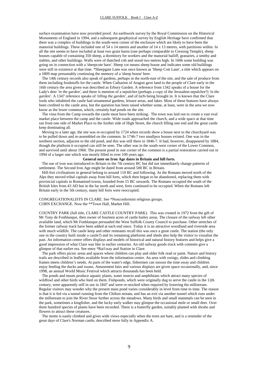surface examination have now provided proof. An earthwork survey by the Royal Commission on the Historical Monuments of England in 1994, and a subsequent geophysical survey by English Heritage have confirmed that there was a complex of buildings in the south-west corner of the enclosure which are likely to have been the manorial buildings. These included one of 54 x 14 metres and another of 14 x 13 metres, with partitions within. In all the site seems to have included at least two grain barns (one perhaps comparable to Cressing Temple), sheep houses capable of containing 350 sheep, a dormitory for workers and the manorial bailiff, granaries, a smithy and stables, and other buildings. Walls were of thatched cob and stood two metres high. In 1606 some building was going on in connection with a 'sheepcote barn'. Sheep cot means sheep house and indicates some old buildings were still in existence at that time. \*Sheepgate Lane was once known as 'Sheep Cott Lane', a title which appears on a 1809 map presumably continuing the memory of a 'sheep house' here.

 The 14th century records also speak of gardens, perhaps in the north-east of the site, and the sale of produce from them including foodstuffs for the castle. When Catharine of Aragon gave land to the people of Clare early in the 16th century the area given was described as Erbury Garden. A reference from 1342 speaks of a house for the Lady's deer 'in the garden', and there is mention of a sepulchre (perhaps a copy of the Jerusalem sepulchre?) *'in the garden'*. A 1347 reference speaks of *'tilling the garden'*, and of turfs being brought in. It is known that the Clare lords who inhabited the castle had ornamental gardens, leisure areas, and lakes. Most of these features have always been credited to the castle area, but the question has been raised whether some, at least, were in the area we now know as the lower common, which, certainly had ponds on the site.

 The vista from the Camp towards the castle must have been striking. The town was laid out to create a vast oval market place between the camp and the castle. Wide roads approached the church, and a wide space at that time ran from one side of Market Place to the further side of High Street, the church filling one end and the great castle keep dominating all.

 Moving to a later age, the site was re-occupied by 1724 when records show a house next to the churchyard was to be pulled down and re-assembled on the common. In 1746-7 two smallpox houses existed. One was in the northern section, adjacent to the old pond, and this was still there in 1846-7. It had, however, disappeared by 1884, though the platform it occupied can still be seen. The other was in the south-west corner of the Lower Common, and survived until about 1960. The present pond in one corner of the common is a partial restoration carried out in 1994 of a larger one which was mostly filled in over 100 years ago.

#### **General note on Iron Age dates in Britain and hill forts.**

 The use of iron was introduced to Britain in the 7th century BC but did not immediately change patterns of settlement. The Second Iron Age might be dated from around 500 BC in Britain.

 Hill-fort civilisations in general belong to around 110 BC and following. As the Romans moved north of the Alps they moved tribal capitals away from hill forts, which then began to be abandoned, replacing them with provincial capitals in Romanised towns, founded from 15 BC onwards. The Romans occupied the south of the British Isles from 43 AD but in the far north and west, forts continued to be occupied. When the Romans left Britain early in the 5th century, many hill forts were reoccupied.

CONGREGATIONALISTS IN CLARE. See \*Nonconformist religious groups. CORN EXCHANGE. Now the \*\*Town Hall, Market Hill.

COUNTRY PARK (full title, CLARE CASTLE COUNTRY PARK). This was created in 1972 from the gift of Mr Tony de Fonblanque, then owner of fourteen acres of castle bailey areas. The closure of the railway left other available land, which Mr Fonblanque persuaded the West Suffolk County Council to purchase. Other stretches of the former railway track have been added at each end since. Today it is an attractive woodland and riverside area with much wildlife. The castle keep and other remnants recall this was once a great castle. The station (the only one in the country built inside a castle?) and its remaining platforms and sheds also help the visitor to visualise the past. An information centre offers displays and models of historical and natural history features and helps give a good impression of what Clare was like in earlier centuries. An old railway goods truck with contents give a glimpse of that earlier era. See entry \*Rai1way and Station in Clare.

 The park offers picnic areas and spaces where children can play and older folk read or paint. Nature and history trails are described in leaflets available from the information centre. An area with swings, slides and climbing frames meets children's needs. At parts of the water's edge, fishermen can snooze the time away and children enjoy feeding the ducks and swans. Amusement fairs and various displays are given space occasionally, and, since 1998, an annual World Music Festival which attracts thousands has been held.

 The ponds and moats produce aquatic plants, water insects and amphibians which attract many species of wildfowl and other birds who feed on them. Fishponds, which were originally dug to serve the castle in the 12th century, were apparently still in use in 1847 and were re-stocked when required by lowering the millstream. Regular visitors may wonder why the present main pond varies considerably in level from time to time. The reason is that it is fed via a tunnel running from the Chilton stream, and has an exit via another tunnel which runs under the millstream to join the River Stour further across the meadows. Many birds and small mammals can be seen in the park, sometimes a kingfisher, and the lucky early walker may glimpse the occasional mole or small deer. Over three hundred species of plants have been recorded. There is a butterfly garden, suitably planted with shrubs and flowers to attract these creatures.

 The motte is easily climbed and gives wide views especially when the trees are bare, and is a reminder of the great days of Clare's Norman castle, described more fully in Appendix A.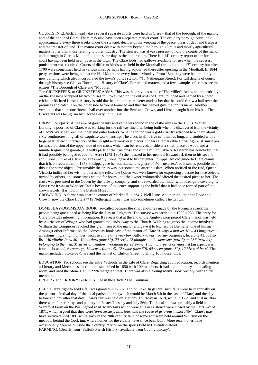COURTS IN CLARE. In early days several separate courts were held in Clare – that of the borough, of the manor, and of the honor of Clare. There may also have been a separate market court. The ordinary borough court, held approximately every three weeks under the steward, dealt with the keeping of the peace, pleas of debt and trespass and the transfer of land. The manor court dealt with matters beyond the b rough's limits and mostly agricultural matters rather than those relating to other industry. The steward was always present to hold the courts of the manor and borough in Clare's Moothall on the same day as the honor court. There is a  $14<sup>th</sup>$  century report of the lord's court having been held in a house in the town. The Clare lords had gallows available for use when the severest punishment was required. Courts of different kinds were held in the Moothall throughout the  $17<sup>th</sup>$  century but after 1700 were sometimes held in various inns, perhaps having adjourned there after opening in the Moothall. In 1844 petty sessions were being held at the Half Moon inn every fourth Monday. From 1844 they were held monthly in a new building which also incorporated the town's police station **(**\*13 Nethergate Street). For full details of courts through history see Gladys Thornton's 'History of Clare'. For related matters and a few examples of crimes see the entries \*The Borough of Clare and \*Moothall.

The CRICKETERS, or CRICKETERS' ARMS. This was the previous name of The Miller's Arms, an inn probably on the site now occupied by two houses in Stoke Road on the outskirts of Clare, founded and named by a noted cricketer Richard Linsell. A story is told that he or another cricketer made a bet that he could throw a ball over the premises and catch it on the other side before it bounced and that this helped give the inn its name. Another version is that someone threw a ball over another inn, the Bear and Crown, and Linsell caught it on his bat. The Cricketers was being run by George Perry until 1964.

CROSS, Reliquary. A treasure of great beauty and value was found in the castle ruins in the 1860s. Walter Lorking, a poor lad of Clare, was working for the railway line then being built when he discovered it in the vicinity of Lady's Walk between the inner and outer baileys. What he found was a gold crucifix attached to a chain about sixty centimetres long, all of exquisite workmanship. The cross itself is five centimetres long, and studded with a large pearl at each intersection of the upright and transverse pieces. It bears a remarkable Christ figure. A small pin fastens a portion of the upper side of the cross, which can be removed. Inside is a small piece of wood and a minute fragment of granite, allegedly parts of the true cross and of the hill of Calvary. Research has concluded that it had possibly belonged to Joan of Acre (1272-1307) then passed to her nephew Edward III, then to his second son, Lionel, Duke of Clarence. Presumably Lionel gave it to his daughter Philippa. An old guide to Clare claims that it is on record that in 1378 Philippa gave her son Edmund *'a piece of the true cross'*, so it seems possible that this is the same object. Presumably the cross was lost some time after this date. When notified of the find, Queen Victoria indicated her wish to possess the relic. The Queen was well-known for expressing a desire for nice objects owned by others, and sometimes waited for hours until the owner 'voluntarily' offered the desired piece to her! The cross was presented to the Queen by the railway company, and she rewarded the finder with three gold sovereigns. For a time it was at Windsor Castle because of evidence supporting the belief that it had once formed part of the crown jewels. It is now in the British Museum.

CROWN INN. A former inn near the corner of Market Hill, \*\*4-7 Well Lane. Another inn, then the Rose and Crown (now the Clare Hotel) \*\*19 Nethergate Street, was also sometimes called The Crown.

DOMESDAY/DOOMSDAY BOOK, so-called because the strict enquiries made by the Normans struck the people being questioned as being like the Day of Judgment. The survey was carried out 1085-1086. The entry for Clare provides interesting information. It reveals that at the end of the Anglo-Saxon period Clare manor was held by Aluric son of Wisgar, who had granted the lands away to the Church. Wishing to grasp the income involved, William the Conqueror revoked this grant, seized the manor and gave it to Richard de Bienfaite, one of his men. Amongst other information the Domesday book says of the manor of Clare *'Always a market. Now 43 burgesses'* an astonishingly high number, because at the time very few Suffolk towns had any burgesses, let alone 43. It also lists *'40 villeins (now 30), 10 bordars (now 30), 20 serfs, 12 ploughs on the demesne (now 7) and 36 (now 24) belonging to the men, 37 acres of meadow, woodland for 12 swine, 1 mill, 5 arpents of vineyard* (an arpent was four to six acres*), 6 rounceys, 10 beasts (now 14), 12 swine (now 60), 60 sheep (now 480), 12 hives of bees'*. The manor included Stoke-by-Clare and the hamlet of Chilton Street, totalling 108 households.

EDUCATION. For schools see the entry \*Schools in the Life of Clare. Regarding adult education, records mention a Literary and Mechanics' Institution established in 1850 with 100 members. It had a good library and reading room, and used the Stone Hall in \*\*Nethergate Street. There was also a Young Men's Book Society, with thirty members.

ERBURY and ERBURY GARDEN. See in the article \*The Common.

FAIR. Clare's right to hold a fair was granted in 1250-1 and/or 1262. In general such fairs were held annually on the patronal festival day of the local parish church (which would be March 5th in the case of Clare) and the day before and day after that date. Clare's fair was held on Maundy Thursday in 1618, while in 1779 and still in 1844 there were fairs for toys and pedlary on Easter Tuesday and July 26th. The local site was probably a field at Wentford Farm on the Poslingford road. Many fairs which were still in existence were closed by the Fairs Act of 1871, which argued that they were *'unnecessary, injurious, and the cause of grievous immorality'*. Clare's may have survived until 1891 while early in the 20th century fairs of some sort were held around Whitsun on the meadow behind the Cock inn, where homes for the elderly have since been built. More recent ones have occasionally been held inside the Country Park or on the sports field in Cavendish Road.. FARMING. (Details from ' Suffolk Parish History', available from County Library).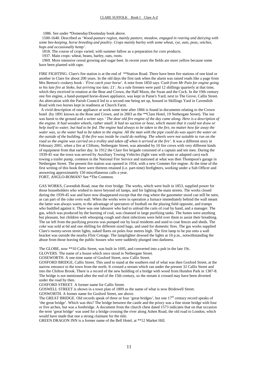1086. See under \*Domesday/Doomsday book above.

 1500-1640. Described as '*Wood-pasture region, mainly pasture, meadow, engaged in rearing and dairying with some bee-keeping, horse breeding and poultry. Crops mainly barley with some wheat, rye, oats, peas, vetches, hops and occasionally hemp'.* 

1818. The course of crops varied, with summer fallow as a preparation for corn products.

1937. Main crops: wheat, beans, barley, oats, roots.

 1969. More intensive cereal growing and sugar beet. In recent years the fields are more yellow because some have been planted with rape.

FIRE FIGHTING. Clare's fire station is at the end of \*\*Station Road. There have been fire stations of one kind or another in Clare for about 200 years. In the old days the first task when the alarm was raised reads like a page from Mrs Beeton's cookery book - *'First catch your horse'*. A note from 1850 says *'Cash from Mr Pain for engine going to his late fire at Stoke, but arriving too late; £1'*. As a rule firemen were paid 12 shillings quarterly at that time, which they received in rotation at the Bear and Crown, the Half Moon, the Swan and the Cock. In the 19th century one fire engine, a hand-pumped horse-drawn appliance, was kept in Paine's Yard, next to The Grove, Callis Street. An altercation with the Parish Council led to a second one being set up, housed in Skillings Yard in Cavendish Road with two horses kept in readiness at Church Farm.

 A vivid description of one appliance at work some time after 1866 is found in documents relating to the Crown hotel (by 1891 known as the Rose and Crown, and in 2003 as the \*\*Clare Hotel, 19 Nethergate Street). The inn was burnt to the ground and a writer says *' The dear old fire engine of the day came along. Here is a description of the engine. It had wooden wheels, rather small. It had no suction or hose, which meant that it could not draw or help itself to water, but had to be fed. The engine had always to be taken to the fire, no matter how far away the water was, so the water had to be taken to the engine. All the man with the pipe could do was squirt the water on the outside of the building. If the fire was inside he could do nothing. The wheels were not suitable to run on the road so the engine was carried on a trolley and taken off when it arrived at the fire'*. It was a different story in February 2001, when a fire at Cliftons, Nethergate Street, was attended by 10 fire crews with very different kinds of equipment from that earlier day. In 1912 the Clare fire brigade consisted of a captain and ten men. During the 1939-45 war the town was served by Auxiliary Towing Vehicles (light vans with seats or adapted cars) each towing a trailer pump, common in the National Fire Service and stationed at what was then Thompson's garage in Nethergate Street. The present fire station was opened in 1954, with a new Commer fire engine. At the time of the first writing of this book there were thirteen retained (i.e. part-time) firefighters, working under a Sub Officer and answering approximately 150 miscellaneous calls a year.

FORT, ANGLO-ROMAN? See \*The Common.

GAS WORKS, Cavendish Road, near the river bridge. The works, which were built in 1853, supplied power for those householders who wished to move beyond oil lamps, and for lighting the main streets. The works closed during the 1939-45 war and have now disappeared except that the ring where the gasometer stood can still be seen, as can part of the coke oven wall. When the works were in operation a furnace immediately behind the wall meant the latter was always warm, to the advantage of spectators of football on the playing field opposite, and tramps who huddled against it. There was one labourer who had to unload the carts of coal by hand, and a manager. The gas, which was produced by the burning of coal, was cleansed in large purifying tanks. The fumes were anything but pleasant, but children with whooping cough and chest infections were held over them to assist their breathing. The tar left from the purifying process was pumped out by local residents and used to coat fences and sheds. The coke was sold at 6d and one shilling for different sized bags, and used for domestic fires. The gas works supplied Clare's twenty-seven street lights, naked flares on poles four metres high. The first lamp to be put onto a wall bracket was outside the nearby Flint Cottage. The lamplighter dowsed the lights at 10 p.m., notwithstanding the abuse from those leaving the public houses who were suddenly plunged into darkness.

The GLOBE, now \*\*10 Callis Street, was built in 1695, and converted into a pub in the late 19c.

GLOVERS. The name of a house which once stood in Nethergate Street.

GOSEWORTH. A one-time name of Gosford Street, now Callis Street.

GOSFORD BRIDGE, Callis Street. This used to stand at the southern end of what was then Gosford Street, at the narrow entrance to the town from the north. It crossed a stream which ran under the present 32 Callis Street and into the Chilton Brook. There is a record of the new building of a bridge with wood from Hundon Park in 1387-8. The bridge is not mentioned after the end of the 15th century, so the stream it crossed may have been diverted under the road by then.

GOSFORD STREET. A former name for Callis Street.

GOSWELL STREET is shown in a town plan of 1809 as the name of what is now Bridewell Street.

GOSWORTH. A former name for Gosford Street, see above.

The GREAT BRIDGE. Old records speak of three or four 'great bridges', but one  $17<sup>th</sup>$  century record speaks of 'the great bridge'. Which was this? The bridge between the castle and the priory was a fine stone bridge with four or five arches, but was a footbridge. A document from the church chest dated 1573 indicates that on that occasion the term 'great bridge' was used for a bridge crossing the river along Ashen Road, the old road to London, which would have made that one a strong claimant for the title.

GREEN DRAGON INN is a former name of the Bell Hotel, at \*\*12 Market Hill.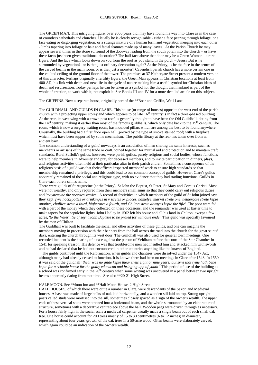The GREEN MAN. This intriguing figure, over 2000 years old, may have found his way into Clare as in the case of countless cathedrals and churches. Usually he is clearly recognisable - either a face peering through foliage, or a face eating or disgorging vegetation, or a strange mixture of a human form and vegetation merging into each other - limbs tapering into foliage or hair and facial features made up of many leaves. At the Parish Church he may appear several times in the stone surround of the doorway leading from the south porch into the church – or have these faces just been given traditional decoration? The half face above that door may be a Green Woman - a rare figure. And the face which looks down on you from the roof as you stand in the porch – Jesus? But is he surrounded by vegetation?- or is that just ordinary decoration again? At the Priory, is he the face in the centre of the carved beams in the main room, or is that just a monster? Cavendish parish church has a more certain one in the vaulted ceiling of the ground floor of the tower. The premises at 37 Nethergate Street present a modern version of this character. Perhaps originally a fertility figure, the Green Man appears in Christian locations at least from 400 AD, his link with death and new life in the cycle of nature making him a useful symbol for Christian ideas of death and resurrection. Today perhaps he can be taken as a symbol for the thought that mankind is part of the whole of creation, to work with it, not exploit it. See Books III and IV for a more detailed article on this subject.

The GRIFFINS. Now a separate house, originally part of the \*\*Boar and Griffin, Well Lane.

The GUILDHALL AND GUILDS IN CLARE. This house (or range of houses) opposite the west end of the parish church with a projecting upper storey and which appears to be late  $16<sup>th</sup>$  century is in fact a three-phased building. At the rear, its west wing with a crown post roof is generally thought to have been the Old Guildhall, dating from the  $14<sup>th</sup>$  century, making it earlier than most of the famous guildhalls, which only date back to the  $15<sup>th</sup>$  century. The room, which is now a surgery waiting room, has moulded pillars which are among the best to be found anywhere. Unusually, the building had a first floor open hall (proved by the type of smoke stained roof) with a fireplace which must have been supported by some mechanism. The public library at the rear has taken over from an ancient barn.

The common understanding of a 'guild' nowadays is an association of men sharing the same interests, such as merchants or artisans of the same trade or craft, joined together for mutual aid and protection and to maintain craft standards. Rural Suffolk's guilds, however, were parish guilds, purely religious and social bodies, whose functions were to help members in adversity and pray for deceased members, and to invite participation in dinners, plays, and religious activities often held at their particular altar in their parish church. Sometimes a consequence of the religious basis of a guild was that their officers inspected members' work to ensure high standards so that membership remained a privilege, and this could lead to our common concept of guilds. However, Clare's guilds apparently remained of the social and religious type, with no evidence that they had trading functions. Guilds in Clare each bore a saint's name.

There were guilds of St Augustine (at the Priory), St John the Baptist, St Peter, St Mary and Corpus Christi. Most were not wealthy, and only required from their members small sums so that they could carry out religious duties and *'mayneteyne the preestes service'*. A record of festivities in which members of the guild of St John joined says they kept *'fyve hockepottes or drinkinges in v stretes or places, namelye, market strete one, nethergate strete kepte another, challice strete a third, higherowe a fourth, and Chilton strete alwayes kepte the fifte'*. The poor were fed with a part of the money which they collected on these occasions, and the remainder was used at Easter time to make tapers for the sepulchre lights. John Hadley in 1502 left his house and all his land in Chilton, except a few acres, *'to the fraternitie of seynt John Baptiste to be praied for withoute ende'* This guild was specially favoured by the men of Chilton.

The Guildhall was built to facilitate the social and other activities of these guilds, and one can imagine the members moving in procession with their banners from the hall across the road into the church for the great saints' days, entering the church through its west door. The Guildhall was also used for general town meetings. One recorded incident is the hearing of a case against the parson of Yeldham before the court of the Star Chamber in 1541 for speaking treason. His defence was that troublesome men had insulted him and attacked him with swords and he had declared that he had not encountered in other countries anything like the knaves of England.

 The guilds continued until the Reformation, when guilds and chantries were dissolved under the 1547 Act, although many had already ceased to function. It is known there had been no meetings in Clare after 1543. In 1550 it was said of the guildhall '*thear was no gilde kepte thear theis eight or nine years: but syns that tyme hath bene kepte for a schoole house for the godly educacon and bringing upp of youth'.* This period of use of the building as a school was confirmed early in the  $20<sup>th</sup>$  century when some writing was uncovered in a panel between two upright beams apparently dating from that time. See also \*\*20-21 High Street.

#### HALF MOON. See \*Moon Inn and \*\*Half Moon House, 2 High Street.

HALL HOUSES, of which there were quite a number in Clare, were descendants of the Saxon and Medieval houses. A base was made of large balks of oak laid horizontally, and a wooden sill laid on top. Strong upright posts called studs were mortised into the sill, sometimes closely spaced as a sign of the owner's wealth. The upper ends of these vertical studs were tenoned into a horizontal beam, and the whole surmounted by an elaborate roof structure, sometimes with a decorative centrepiece above the hall. Wooden pegs were driven through as necessary. For a house fairly high in the social scale a medieval carpenter usually made a single beam out of each small oak tree. One house could account for 200 trees mostly of 15 to 30 centimetres (6 to 12 inches) in diameter, representing about four years' growth of the oak trees in a 50-acre wood. Often beams were elaborately carved, which again could be an indication of the owner's wealth.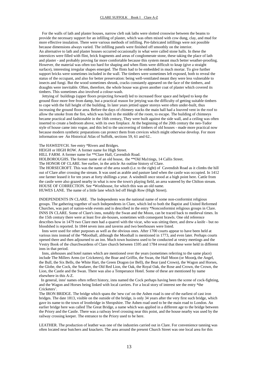For the walls of lath and plaster houses, narrow cleft oak laths were slotted crosswise between the beams to provide the necessary support for an infilling of plaster, which was often mixed with cow dung, clay, and mud for more effective insulation. There were various methods of infilling. Pre-fabricated infillings were not possible because dimensions always varied. The infilling panels were finished off smoothly on the interior. An alternative to lath and plaster houses occurred occasionally in what were called stone halls. In these the interstices were filled with flint, brick fragments and areas of conglomerate stone, these taking the place of lath and plaster - and probably proving far more comfortable because this system meant much better weather-proofing. However, the material was often too hard for shaping and when flints were difficult to knap (give a straight surface), interesting irregular shapes emerged. The flints had to be embedded in much mortar. To give further support bricks were sometimes included in the wall. The timbers were sometimes left exposed, both to reveal the status of the occupant, and also for better preservation: being well-ventilated meant they were less vulnerable to insects and fungi. But the wood sometimes shrunk, cracks constantly appeared on the face of the timbers, and draughts were inevitable. Often, therefore, the whole house was given another coat of plaster which covered its timbers. This sometimes also involved a colour-wash.

 Jettying of buildings (upper floors projecting forward) led to increased floor space and helped to keep the ground floor more free from damp, but a practical reason for jettying was the difficulty of getting suitable timbers to cope with the full height of the building. In later years jettied upper storeys were often under-built, thus increasing the ground floor area. Before the days of chimney stacks the main hall had a louvred vent in the roof to allow the smoke from the fire, which was built in the middle of the room, to escape. The building of chimneys became practical and fashionable in the 16th century, They were built against the side wall, and a ceiling was often inserted to create a bedroom above, with its own fireplace. At the beginning of the 20th century the neo-Tudor style of house came into vogue, and this led to the uncovering of timbers of old houses - made more practical now because modern synthetic preparations can protect them from crevices which might otherwise develop. For more information see An Historical Atlas of Suffolk, sections 59, 61 and 62..

The HAWEDYCH. See entry \*Rivers and Bridges.

HEIGH or HIGH ROW. A former name for High Street.

HILL FARM. A former name for \*\*Clare Hall, Cavendish Road.

HOLBOROUGHS. The former name of an old house, the \*\*Old Ma1tings, 14 Callis Street.

The HONOR OF CLARE. See earlier, in the article An outline history of Clare.

The HORSECROFT. This was the name of the area south (i.e. to the right) of Cavendish Road as it climbs the hill out of Clare after crossing the stream. It was used as arable and pasture land when the castle was occupied. In 1412 one farmer leased it for ten years at forty shillings a year. A windmill once stood at a high point here. Cattle from the castle were also grazed nearby in what is now the town's playing field, an area watered by the Chilton stream. HOUSE OF CORRECTION. See \*Workhouse, for which this was an old name.

HUWES LANE. The name of a little lane which led off Heigh Row (High Street).

INDEPENDENTS IN CLARE. The Independents was the national name of some non-conformist religious groups. The gathering together of such Independents in Clare, which led to both the Baptist and United Reformed Churches, was part of nation-wide events and is described in the entry \*Nonconformist religious groups in Clare. INNS IN CLARE. Some of Clare's inns, notably the Swan and the Moon, can be traced back to medieval times. In the 15th century there were at least five ale-houses, sometimes with consequent brawls. One old reference describes how in 1479 two Clare men had a quarrel with the vicar, who was sitting there, and drew a knife - but no bloodshed is reported. In 1844 seven inns and taverns and two beerhouses were listed.

 Inns were used for other purposes as well as the obvious ones. After 1700 courts appear to have been held at various inns instead of the \*Moothall, although the Moothall is mentioned in 1773, and even later. Perhaps courts opened there and then adjourned to an inn. Much town business used to be conducted at vestry meetings and the Vestry Book of the churchwardens of Clare church between 1595 and 1784 reveal that these were held in different inns in that period.

 Inns, alehouses and hotel names which are mentioned over the years (sometimes referring to the same place) include The Millers Arms (or Cricketers), the Boar and Griffin, the Swan, the Half Moon (or Moon**),** the Angel, the Bull, the Six Bells, the White Hart, the Green Dragon (or Bell), the Bear (and Crown), the Wagon and Horses, the Globe, the Cock, the Seafarer, the Old Red Lion, the Oak, the Royal Oak, the Rose and Crown, the Crown, the Lion, the Castle and the Swan. There was also a Temperance Hotel. Some of these are mentioned by name elsewhere in this A-Z.

 In general, inns' names often reflect history, inns named the Cock perhaps having been the scene of cock-fighting, and the Wagon and Horses being linked with local carriers. For a local story of interest see the entry \*the Cricketers'*.*

The IRON BRIDGE. The bridge which spans the 'new cut' on the Ashen road is one of the earliest of cast iron bridges. The date 1813, visible on the outside of the bridge, is only 34 years after the very first such bridge, which gave its name to the town of Ironbridge in Shropshire. The Ashen road used to be the main road to London. An earlier bridge here was called The Great Bridge, a name which was applied in a different age to the bridge between the Priory and the Castle. There was a railway level crossing near this point, and the house nearby was used by the railway crossing keeper. The entrance to the Priory used to be here.

LEATHER. The production of leather was one of the industries carried out in Clare. For convenience tanning was often located near butchers and knackers. The area around the present Church Street was one local area for this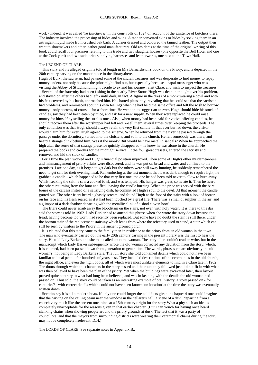work - indeed, it was called *'Ye Butcherrie'* in the court rolls of 1624 on account of the existence of butchers there. The industry involved the processing of hides and skins. A tanner converted skins or hides by soaking them in an astringent liquid made from crushed oak bark. A currier dressed and coloured the tanned leather. The output then went to shoemakers and other leather good manufacturers. Old residents at the time of the original writing of this book could recall four premises relating to this trade and two slaughterhouses (one opposite the Bell Hotel and one at the Cock yard) and two saddleries supplying harnesses and leatherworks, one next to the Town Hall.

#### The LEGEND OF CLARE.

 This story and its alleged origin is told at length in Mrs Barnardiston's book on the Priory, and is depicted in the 20th century carving on the mantelpiece in the library.there.

Hugh of Bury, the sacristan, had pawned some of the church treasures and was desperate to find money to repay moneylenders, not only because the prior might find out, but especially because a papal messenger who was visiting the Abbey of St Edmund might decide to extend his journey, visit Clare, and wish to inspect the treasures.

 Several of the fraternity had been fishing in the nearby River Stour. Hugh was deep in thought over his problem, and stayed on after the others had left - until dark, in fact. A figure in the dress of a monk wearing a cowl and with his feet covered by his habit, approached him. He chatted pleasantly, revealing that he could see that the sacristan had problems, and reminisced about his own feelings when he had held the same office and felt the wish to borrow money - only borrow, of course - for a short time. He went on to suggest an answer. Hugh should hide his stock of candles, say they had been eaten by mice, and ask for a new supply. When they were replaced he could raise money for himself by selling the surplus ones. Also, when money had been paid for votive-offering candles, he should recover them after the worshipper had left and re-sell them several times over, keeping the proceeds. The only condition was that Hugh should always retain the very first candle: if that ever burned down, the visitor would claim him for ever. Hugh agreed to the scheme. When he returned from the river he passed through the passage under the dormitory, turned into the cloisters, and so into the church. He felt somebody was there, and heard a strange clink behind him. Was it the monk? But would he have metallic sandals? When he approached the high altar the sense of that strange presence quickly disappeared - he knew he was alone in the church. He prepared the books and candles for the midnight service, lit the four great cressets, entered the sacristy and removed and hid the stock of candles.

 For a time the plan worked and Hugh's financial position improved. Then some of Hugh's other misdemeanours and mismanagement of priory affairs were discovered, and he was put on bread and water and confined to the premises. Late one day, as it began to get dark but the others were still away hunting, he suddenly remembered the need to get salt for their evening meal. Remembering at the last moment that it was dark enough to require light, he grabbed a candle - which happened to be that very first one, the one he had been told never to allow to burn away. Whilst seeking the salt he saw a cooked fowl, and was tempted. His hunger was great, so he ate it. Then he heard the others returning from the hunt and fled, leaving the candle burning. When the prior was served with the bare bones of the carcass instead of a satisfying dish, he committed Hugh's soul to the devil. At that moment the candle gutted out. The other friars heard a ghastly scream, and found Hugh at the foot of the stairs with a look of horror on his face and his flesh seared as if it had been touched by a great fire. There was a smell of sulphur in the air, and a glimpse of a dark shadow departing with the metallic clink of a shod cloven hoof.

 The friars could never scrub away the bloodstain on the stairs, not even with holy water. 'It is there to this day' said the story as told in 1902. Lady Barker had to amend this phrase when she wrote the story down because the tread, having become too worn, had recently been replaced. But some have no doubt the stain is still there, under the bottom stair of the replacement stairway which leads from where the refectory used to stand, a stair which can still be seen by visitors to the Priory in the ancient groined porch.

 It is claimed that this story came to the family then in residence at the priory from an old woman in the town. The man who eventually carried out the early 20th century carving in the present library was the first to hear the story. He told Lady Barker, and she then called upon the woman. The storyteller couldn't read or write, but in the manuscript which Lady Barker subsequently wrote the old woman corrected any deviation from the story, which, it is claimed, had been passed down from generation to generation. The words, phrases etc are obviously the old woman's, not being in Lady Barker's style. The full story she told contained details which could not have been familiar to local people for hundreds of years past. They included descriptions of the ceremonies in the old church, the night office, and even the night boots, all of which were most unlikely elements to find in a Clare tale in 1902. The doors through which the characters in the story passed and the route they followed just did not fit in with what was then believed to have been the plan of the priory. Yet when the buildings were excavated later, their layout proved quite contrary to what had long been believed, and was in keeping with the details the old woman had passed on! Thus told, the story could be taken as an interesting example of oral history, a story passed on - for centuries? - with correct details which could not have been known 'on location' at the time the story was eventually written down.

 Sceptics say it is all a modern hoax. If only one could forget the cold facts given in chapter 4 one could imagine that the carving on the ceiling beam near the window in the cellarer's hall, a scene of a devil departing from a church very much like the present one, hints at a 15th century origin for the story What a pity such an idea is completely unacceptable for the reasons given in that earlier chapter. (But I can vouch for having once heard clanking chains when showing people around the priory grounds at dusk. The fact that it was a party of councillors, and that the mayors from surrounding districts were wearing their ceremonial chains during the tour, may not be completely irrelevant. D.H.)

The LORDS OF CLARE. See separate notes in Appendix B..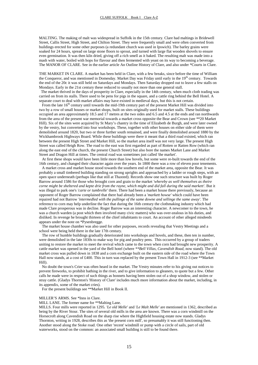MALTING. The making of malt was widespread in Suffolk in the 15th century. Clare had maltings in Bridewell Street, Callis Street, High Street, and Chilton Street. They were frequently small and were often converted from buildings erected for some other purposes (a redundant church was used in Ipswich). The barley grains were soaked for 24 hours, spread on large stone floors to sprout, and turned with large flat wooden shovels to ensure even germination. It was then kiln dried, giving off a rich smell as it baked. The resulting malt was made into a mash with water, boiled with hops for flavour and then fermented with yeast on its way to becoming a beverage. The MANOR OF CLARE. See in the earlier article An Outline History of Clare, and also under \*Courts in Clare.

THE MARKET IN CLARE. A market has been held in Clare, with a few breaks, since before the time of William the Conqueror, and was mentioned in Domesday. Market Day was Friday until early in the 19<sup>th</sup> century. Towards the end of the 20c it was still held on Saturdays and Mondays. Then Saturday dropped out to leave a few stalls on Mondays. Early in the 21st century these reduced to usually not more than one general stall.

 The market thrived in the days of prosperity in Clare, especially in the 14th century, when much cloth trading was carried on from its stalls. There used to be pens for pigs in the square, and a cattle ring behind the Bell Hotel. A separate court to deal with market affairs may have existed in medieval days, but this is not certain.

From the late 16<sup>th</sup> century until towards the mid-19th century part of the present Market Hill was divided into two by a row of small houses or market shops, built on sites originally used for market stalls. These buildings occupied an area approximately 18.5 and 17 metres at the two sides and 6.5 and 4.5 at the ends and ran northwards from the area of the present war memorial towards a market cross opposite the Bear and Crown (see \*\*20 Market Hill). Six of the sites were acquired by St Mary's chantry in the time of Elizabeth de Burgh, and were later owned by the vestry, but converted into four workshops. These, together with other houses on either side of them were demolished around 1820, but two or three further south remained, and were finally demolished around 1880 by the Wickhambrook Highways Board. While these buildings were there it meant that a third road existed, which ran between the present High Street and Market Hill, so the market area itself was not very large. The present High Street was called Heigh Row. The road to the east was first regarded as part of Rotten or Ratten Row (which ran along the east end of the church, the present Church Street) but also bore the names Market Lane and Market Street and Dragon Hill at times. The central road was sometimes just called 'the market'.

 At first these shops would have been little more than low hovels, but some were re-built towards the end of the 16th century, and changed their character again over the years. In 1800 there was a row of eleven poor tenements.

 A market cross and market house stood towards the southern end of the market area, opposite the Bear. It was probably a small timbered building standing on strong uprights and approached by a ladder or rough steps, with an open space underneath (perhaps like that still at Thaxted). Records show one such structure was built by Roger Barrow around 1586 for those who brought corn and grain to the market *'whereby as well themselves as theire corne might be sheltered and kepte drie from the rayne, which might and did fall during the said markett'*. But it was illegal to park one's *'carte or tumbrelle'* there. There had been a market house there previously, because an opponent of Roger Barrow complained that there had already been a *'markett howse'* which could have been repaired had not Barrow *'intermedled with the pullinge of the same downe and sellinge the same away'*. The reference to corn may help underline the fact that during the 16th century the clothmaking industry which had made Clare prosperous was in decline. Roger Barrow was an interesting character. A newcomer to the town, he was a church warden (a post which then involved many civic matters) who was over-zealous in his duties, and disliked. In revenge he brought thirteen of the chief inhabitants to court. An account of other alleged misdeeds appears under the note on \*Pysenbregge.

 The market house chamber was also used for other purposes, records revealing that Vestry Meetings and a school were being held there in the late 17th century.

 The row of humble buildings gradually deteriorated into workshops and hovels, and these, then ten in number, were demolished in the late 1830s to make way for pig and poultry pens. This occurred by a group of traders uniting to restore the market to meet the revival which came to the town when corn had brought new prosperity. A cattle market was opened in the yard of the Bell hotel (where *\*\*Bell Villas, Cavendish Road*, now stand). The old market cross was pulled down in 1838 and a corn exchange built on the eastern side of the road where the Town Hall now stands, at a cost of £400. This in turn was replaced by the present Town Hall in 1912-3 (see \*\*Market Hill).

 No doubt the town's Crier was often heard in the market. The Vestry minutes refer to his giving out notices to prevent fireworks, to prohibit bathing in the river, and to give information to gleaners, to quote but a few. Other calls he made were in respect of such things as bonnets having been stolen out of a shop window, and stolen or stray cattle. (Gladys Thornton's 'History of Clare' includes much more information about the market, including, in its appendix, some of the market cries).

For the present buildings see \*\*Market Hill in Book II.

#### MILLER'S ARMS. See \*Inns in Clare.

#### MILL LANE. The former name for \*\*Malting Lane.

MILLS. Four mills were reported in 1295*. 'Le old Melle'* and *'Le Malt Melle'* are mentioned in 1362, described as being by the River Stour. The sites of several old mills in the area are known. There was a corn windmill on the Horsecroft along Cavendish Road on the sharp rise where the Highfield housing estate now stands. Gladys Thornton, writing in 1928, describes this as 'the present corn mill', so presumably it was still functioning then. Another stood along the Stoke road. One other 'recent' windmill or pump with a circle of sails, part of old waterworks, stood on the common: an associated small building is still to be found there.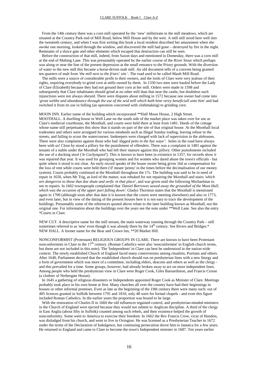From the 14th century there was a corn mill operated by the 'new' millstream in the mill meadows, which are situated at the Country Park end of Mill Road, below Mill House and by the weir. A mill still stood here well into the twentieth century, and when I was first writing this book a local resident described her amazement when she awoke one morning, looked through the window, and discovered the mill had gone – destroyed by fire in the night. Remnants of a sluice gate and other elements which escaped that destruction can still be seen.

 Before the construction of that mill, indeed, from Saxon days and mentioned in Domesday, there was a corn mill at the end of Malting Lane. This was presumably operated by the earlier course of the River Stour which perhaps was along or near the line of the present depression at the small entrance to the Priory grounds. With the diversion of water to the new mill this became a horse-driven malt mill. An old document tells of a convent being granted ten quarters of malt from *'the mill next to the friars' site* '. The road used to be called Mault Mill Road.

 The mills were a source of considerable profit to their owners, and the lords of Clare were very jealous of their rights, requiring everybody to grind corn at mills owned by them. In 1330 two men were hauled before the Lady of Clare (Elizabeth) because they had not ground their corn at her mill. Orders were made in 1598 and subsequently that Clare inhabitants should grind at no other mill than that near the castle, but doubtless such injunctions were not always obeyed. There were disputes about milling in 1572 because one owner had come into *'great welthe and abundaunce through the use of the seid mill which hath bine verey beneficiall unto him'* and had switched it from its use in fulling (an operation concerned with clothmaking) to grinding corn.

#### MOON INN. Earlier name of the building which incorporated \*\*Half Moon House, 2 High Street.

MOOTHALL. A dwelling house in Well Lane on the south side of the market place was taken over for use as Clare's medieval courthouse, the Moothall, and courts were held there at least from 1481. Deeds of the cottage whose name still perpetuates this show that it stands on part of the site of that original house. At the Moothall local tradesmen and others were arraigned for various misdeeds such as illegal Sunday trading, leaving refuse in the streets, and failing to scour the watercourses. Innkeepers were charged with lack of supervision in the alehouses. There were also complaints against those who had *'digged petts in the hye waye':* holes in the road have always been with us! Close by stood a pillory for the punishment of offenders. There was a complaint in 1481 against the tenants of a stable under the Moothall who had left their manure against this pillory. Other punishments included the use of a ducking stool (*'le Cuckyngstol'*). This is known to have been in existence in 1357, for records show it was repaired that year. It was used for gossiping women and for women who dared abuse the town's officials - but quite where it stood is not clear. An early record speaks of the house owner being given 16d as compensation for the loss of rent while courts were held there ('d' meant 'penny' in the times before the decimalisation of our money system). Courts probably continued at the Moothall throughout the 17c. The building was said to be in need of repair in 1650, when Mr Trig, as lord of the manor, was rebuked for not repairing the Moothall and stairs *'which are dangerros to those that doe shute and serfic in that place'*, and was given until the following Michaelmas to see to repairs. In 1662 townspeople complained that *'Daniel Borrowes sawed away the groundsel of the Moot Hall, which was the occasion of the upper part falling down'*. Gladys Thornton states that the Moothall is mentioned again in 1700 (although soon after that date it is known that the courts were meeting elsewhere) and also in 1773, and even later, but in view of the dating of the present houses here it is not easy to trace the development of the buildings. Presumably some of the references quoted above relate to the later building known as Moothall, not the original one. For information about the buildings over the years see the note under \*\*Well Lane. See also the entry \*Courts in Clare.

NEW CUT. A descriptive name for the mill stream, the main waterway running through the Country Park – still sometimes referred to as 'new' even though it was already there by the 14<sup>th</sup> century. See Rivers and Bridges.\* NEW HALL. A former name for the Bear and Crown Inn, \*\*20 Market Hill.

NONCONFORMIST (Protestant) RELIGIOUS GROUPS IN CLARE. There are known to have been Protestant nonconformists in Clare in the  $17<sup>th</sup>$  century. (Roman Catholics were also 'nonconformist' in English church terms, but these are not included in this note). The 'Independents' in Clare can best be understood in the nation-wide context. The newly established Church of England faced many controversies among ritualists, Puritans and others. After 1640, Parliament decreed that the established church should run on presbyterian lines with a new liturgy and a form of government which was more of a committee, including elders, deacons and others as well as the clergy and this prevailed for a time. Some groups, however, had already broken away to act on more independent lines. Among people who held the presbyterian view in Clare were Roger Cook, Giles Barnardiston, and Francis Crosse (a clothier of Nethergate House).

 In 1645 a gathering of religious dissenters or Independents appointed Roger Cook as Minister of Clare. Meetings probably took place in his own home at first. Many churches all over the country have had their beginnings in houses or other informal premises. Even as late as the beginning of the 19th century there were many such: out of 405 licences granted in Suffolk between 1791 and 1810, only 48 were for formal chapels - and even this figure included Roman Catholics. In the earlier years the proportion was bound to be large.

 With the restoration of Charles II in 1660 the old influences regained control, and presbyterian-minded ministers in the Church of England were ejected because they would not submit to Anglican discipline. A third of the clergy in East Anglia (about fifty in Suffolk) counted among such rebels, and their existence helped the growth of nonconformity. Some went to America to exercise their freedom. In 1662 the Rev Francis Crow, vicar of Hundon, was dislodged from his church, and went to live in Ovington. He was licensed as a Presbyterian Teacher in 1672 under the terms of the Declaration of Indulgence, but continuing persecution drove him to Jamaica for a few years. He returned to England and came to Clare to become the town's Independent minister in 1687. Ten years earlier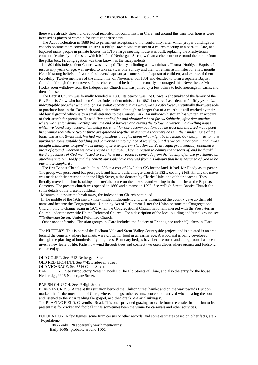there were already three hundred local recorded nonconformists in Clare, and around this time four houses were licensed as places of worship for Protestant dissenters.

 The Act of Toleration in 1689 led to permanent acceptance of nonconformity, after which proper buildings for chapels became more common. In 1690 a Philip Havers was minister of a church meeting in a barn at Clare, and baptised many people in private houses. In 1710 a large meeting house was built, replacing the Presbyterian conventicle already on the site, which is behind Nethergate Street, with an arched entrance round the corner from the pillar box. Its congregation was then known as the Independents.

 In 1801 this Independent Church was having difficulty in finding a new minister. Thomas Hoddy, a Baptist of just twenty years of age, was invited to take services one Sunday and then to remain as minister for a few months. He held strong beliefs in favour of believers' baptism (as contrasted to baptism of children) and expressed them forcefully. Twelve members of the church met on November 5th 1801 and decided to form a separate Baptist Church, although the controversial preacher claimed he had not personally encouraged this. Nevertheless Mr Hoddy soon withdrew from the Independent Church and was joined by a few others to hold meetings in barns, and then a house.

 The Baptist Church was formally founded in 1803. Its deacon was Lot Crowe, a shoemaker of the family of the Rev Francis Crow who had been Clare's Independent minister in 1687. Lot served as a deacon for fifty years, *'an indefatigable preacher who, though somewhat eccentric in his ways, was greatlv loved'*. Eventually they were able to purchase land in the Cavendish road, a site which, although no longer that of a church, is still marked by their old burial ground which is by a small entrance to the Country Park. An unknown historian has written an account of their search for premises. He said *'We applied for and obtained a barn for six Sabbaths, after that another where we met for divine worship until the end of harvest, and during the following winter in a dwelling house which we found very inconvenient being too small for our accommodation, but we trust that the Lord made good his promise that where two or three are gathered together in his name that there he is in their midst.* (One of the barns was at the Swan inn). *We had many anxious thoughts about what might be the issue. Our design was to have purchased some suitable building and converted it into a place of worship, but this we could not obtain and it was thought injudicious to spend much money after a temporary situation…..We at length providentially obtained a piece of ground, whereon we have erected this chapel….having reason to admire the wisdom of, and be thankful for the goodness of God manifested to us. I have also reason to conclude from the leading of divine providence an attachment to Mr Hoddy and the benefit our souls have received from his labours that he is designed of God to be our under shepherd'.*

 The first Baptist Chapel was built in 1805 at a cost of £242 plus £23 for the land. It had Mr Hoddy as its pastor. The group was persecuted but prospered, and had to build a larger church in 1821, costing £365. Finally the move was made to their present site in the High Street, a site donated by Charles Hale, one of their deacons. They literally moved the church, taking its materials to use on the new site and walling in the old site as the Baptists' Cemetery. The present church was opened in 1860 and a manse in 1892. See \*\*High Street, Baptist Church for some details of the present building.

Meanwhile, despite the break away, the Independent Church continued.

 In the middle of the 19th century like-minded Independent churches throughout the country gave up their old name and became the Congregational Union by Act of Parliament. Later the Union became the Congregational Church, only to change again in 1971 when the Congregational Church nationally merged with the Presbyterian Church under the new title United Reformed Church. For a description of the local building and burial ground see \*\**Nethergate Street*, United Reformed Church.

Other nonconformist Christian groups in Clare included the Society of Friends, see under \*Quakers in Clare.

The NUTTERY. This is part of the Dedham Vale and Stour Valley Countryside project, and is situated in an area behind the cemetery where hazelnuts were grown for food in an earlier age. A woodland is being developed through the planting of hundreds of young trees. Boundary hedges have been restored and a large pond has been given a new lease of life. Paths now wind through trees and connect two open glades where picnics and birdsong can be enjoyed.

OLD COURT. See \*\*13 Nethergate Street.

OLD RED LION INN. See \*\*45 Bridewell Street.

OLD VICARAGE. See \*\*16 Callis Street.

PARGETTING. See Introductory Notes in Book II: The Old Streets of Clare, and also the entry for the house Netheridge, \*\*15 Nethergate Street.

#### PARISH CHURCH. See \*\*High Street.

PERRYES CROSS. A tree at this situation beyond the Chilton Street hamlet and on the way towards Hundon marked the furthermost point of Clare, where, amongst other events, processions arrived when beating the bounds and listened to the vicar reading the gospel, and then drank *'ale or drinkinges'*.

The PLAYING FIELD, Cavendish Road. This once provided grazing for cattle from the castle. In addition to its present use for cricket and football it has sometimes been the venue for carnivals and other activities.

POPULATION. A few figures, some from census or other records, and some estimates based on other facts, are:- Population:-

 1086 - only 128 apparently worth mentioning! Early 1600s, probably around 1300.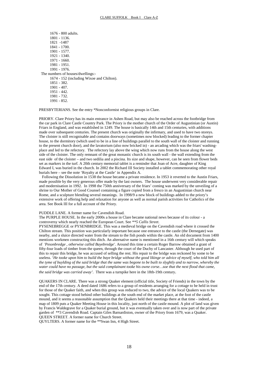| 1676 - 800 adults.                        |  |  |  |  |
|-------------------------------------------|--|--|--|--|
| 1801 - 1136.                              |  |  |  |  |
| 1821 -1487                                |  |  |  |  |
| 1841 - 1700.                              |  |  |  |  |
| 1901 - 1577.                              |  |  |  |  |
| 1921 - 1340.                              |  |  |  |  |
| 1971 - 1660.                              |  |  |  |  |
| 1981 - 1951.                              |  |  |  |  |
| 1991 - 1976.                              |  |  |  |  |
| The numbers of houses/dwellings:-         |  |  |  |  |
| 1674 - 152 (including Wixoe and Chilton). |  |  |  |  |
| 1851 - 382.                               |  |  |  |  |
| $1901 - 407$ .                            |  |  |  |  |
| 1951 - 442.                               |  |  |  |  |
| 1981 - 732.                               |  |  |  |  |
| 1991 - 852.                               |  |  |  |  |

PRESBYTERIANS. See the entry \*Nonconformist religious groups in Clare.

PRIORY. Clare Priory has its main entrance in Ashen Road, but may also be reached across the footbridge from the car park in Clare Castle Country Park. The Priory is the mother church of the Order of Augustinian (or Austin) Friars in England, and was established in 1249. The house is basically 14th and 15th centuries, with additions made over subsequent centuries. The present church was originally the infirmary, and used to have two storeys. The cloister is still recognisable and contains doorways (sometimes now blocked) leading to the former chapter house, to the dormitory (which used to be in a line of buildings parallel to the south wall of the cloister and running to the present church door), and the lavatorium (also now bricked in) - an arcading which was the friars' washingplace and led to the refectory. The refectory lay above the wing which now runs from the house along the west side of the cloister. The only remnant of the great monastic church is its south wall - the wall extending from the east side of the cloister – and two sedilia and a piscina. Its size and shape, however, can be seen from flower beds set as markers in the turf. A 20th century memorial tablet is a reminder that Joan of Acre, daughter of King Edward I, was buried in the church. In 2002 the Richard III Society installed a tablet commemorating other royal burials here – see the note 'Royalty at the Castle' in Appendix A.

 Following the Dissolution in 1538 the house became a private residence. In 1953 it reverted to the Austin Friars, made possible by the very generous offer made by the last owners. The house underwent very considerable repair and modernisation in 1992. In 1998 the 750th anniversary of the friars' coming was marked by the unveiling of a shrine to Our Mother of Good Counsel containing a figure copied from a fresco in an Augustinian church near Rome, and a sculpture blending several meanings. In 1998/9 a new block of buildings added to the priory's extensive work of offering help and relaxation for anyone as well as normal parish activities for Catholics of the area. See Book III for a full account of the Priory.

#### PUDDLE LANE. A former name for Cavendish Road.

The PURPLE HOUSE. In the early 2000s a house in Clare became national news because of its colour - a controversy which nearly reached the European Court. See *\*\*5 Callis Street*.

PYSENEBREGGE or PYSENBRIDGE. This was a medieval bridge on the Cavendish road where it crossed the Chilton stream. This position was particularly important because one entrance to the castle (the Dernegate) was nearby, and a sluice directed water from the stream to the fish ponds within the castle. An old document from 1400 mentions workmen constructing this ditch. An alternative name is mentioned in a 16th century will which speaks of *'Pesonbredge , otherwise called Bayebredge'*. Around this time a certain Roger Barrow obtained a grant of fifty-four loads of timber from the queen, through the court of the Duchy of Lancaster. Although he used part of this to repair this bridge, he was accused of selling the rest. His repair to the bridge was reckoned by some to be useless. '*He tooke upon him to build the baye bridge without the good likinge or advice of myself, who told him all the tyme of buylding of the said bridge that the same was begone to be built to slyghtly and to narrow, whereby the water could have no passage, but the said complainant tooke his owne corse…soe that the next flood that came, the said bridge was carried away'.* There was a turnpike here in the 18th-19th century.

QUAKERS IN CLARE. There was a strong Quaker element (official title, Society of Friends) in the town by the end of the 17th century. A deed dated 1686 refers to a group of residents arranging for a cottage to be held in trust for those of the Quaker faith, and when this group was reduced to two, the advice of the local Quakers was to be sought. This cottage stood behind other buildings at the south end of the market place, at the foot of the castle mound, and it seems a reasonable assumption that the Quakers held their meetings there at that time - indeed, a map of 1809 puts a Quaker Meeting House in this locality, just north of the castle mound. A plot of land was given by Francis Waldegrave for a Quaker burial ground, but it was eventually taken over and is now part of the private garden of \*\*3 Cavendish Road. Captain Giles Barnardiston, owner of the Priory from 1679, was a Quaker. QUEEN STREET. A former name for Church Street.

QUYLTERS. A former name for the \*\*Swan Inn, 4 High Street.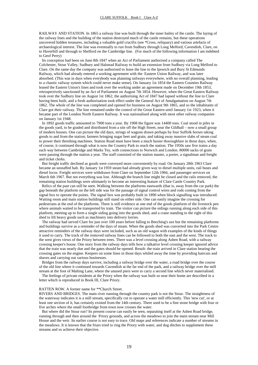RAILWAY AND STATION. In 1865 a railway line was built through the inner bailey of the castle. The laying of the railway lines and the building of the station destroyed much of the castle remains, but these operations uncovered hidden treasures, including a valuable gold crucifix (see \*Cross, reliquary) and various artefacts of archaeological interest. The line was eventually to run from Sudbury through Long Melford, Cavendish, Clare, on to Haverhill and through to Shelford on the Cambridge line. (For much of the following information I am indebted to Geof Perry)

 Its conception had been on June 8th 1847 when an Act of Parliament authorised a company called The Colchester, Stour Valley, Sudbury and Halstead Railway to build an extension from Sudbury via Long Melford to Clare. On the same day the company was authorised to lease the line to the Ipswich and Bury St Edmunds Railway, which had already entered a working agreement with the Eastern Union Railway, and was later absorbed. (This was in days when everybody was planning railways everywhere, with no overall planning, leading to a chaotic railway system which could never make sense). On January 1st 1854 the Eastern Counties Railway leased the Eastern Union's lines and took over the working under an agreement made on December 19th 1853, retrospectively sanctioned by an Act of Parliament on August 7th 1854. However, when the Great Eastern Railway took over the Sudbury line on August 1st 1862, the authorising Act of 1847 had lapsed without the line to Clare having been built, and a fresh authorisation took effect under the General Act of Amalgamation on August 7th 1862. The whole of the line was completed and opened for business on August 9th 1865, and so the inhabitants of Clare got their railway. The line remained under the control of the Great Eastern until January 1st 1923, when it became part of the London North Eastern Railway. It was nationalised along with most other railway companies on January 1st 1948.

 In 1892 goods traffic amounted to 7900 tons a year. By 1908 the figure was 14400 tons. Coal stood in piles in the goods yard, to be graded and distributed from a site off the High Street, near the Gildhall – now a small group of modern houses. One can picture the old days, strings of wagons drawn perhaps by four Suffolk horses taking goods to and from the station; farmers bringing sugar beet and grain, and taking away massive slabs of steam coal to power their threshing machines. Station Road must have been a much busier thoroughfare in those days, when, of course, it continued through what is now the Country Park to reach the station. The 1950s saw five trains a day each way between Cambridge and Marks Tey, with connections to Norwich and London. 80000 sacks of grain were passing through the station a year. The staff consisted of the station master, a porter, a signalman and freight and ticket clerks.

 But freight traffic declined as goods were conveyed more conveniently by road. On January 28th 1963 Clare became an unstaffed halt. By January 1st 1959 steam had already given way to diesel multiple units, rail buses and diesel locos. Freight services were withdrawn from Clare on September 12th 1966, and passenger services on March 6th 1967. But not everything was lost. Although the branch line might be closed and the rails removed, the remaining station buildings were ultimately to become an interesting feature of Clare Castle Country Park.

 Relics of the past can still be seen. Walking between the platforms eastwards (that is, away from the car park) the gap beneath the platform on the left side was for the passage of signal control wires and rods coming from the signal box to operate the points. The signal box was probably built in 1890 when block signalling was introduced. Waiting room and main station buildings still stand on either side. One can easily imagine the crossing for pedestrians at the end of the platforms. There is still evidence at one end of the goods platform of the livestock pen where animals waited to be transported by train. The visitor can picture the sidings running along each side of this platform, meeting up to form a single siding going into the goods shed, and a crane standing to the right of this shed to lift heavy goods such as machinery into delivery lorries.

 The railway had served Clare for just over 100 years before falling to Beeching's axe but the remaining platforms and buildings survive as a reminder of the days of steam. When the goods shed was converted into the Park Centre attractive reminders of the railway days were included, such as an old wagon with examples of the kinds of things it used to carry. The track of the removed railway lines can be followed to both the east and the west. The track to the west gives views of the Priory between trees. There was a level crossing along Ashen Road, with a railway crossing keeper's house. One story from the railway days tells how a talkative level crossing keeper ignored advice that the train was nearly due and the gates should be opened. Result: the train arrived in Clare station bearing the crossing gates on the engine. Keepers on some lines in those days whiled away the time by providing haircuts and shaves and carrying out various businesses.

 Bridges from the railway days survive, including a railway bridge over the water, a road bridge over the course of the old line where it continued towards Cavendish at the far end of the park, and a railway bridge over the mill stream at the foot of Malting Lane, where the unused piers were to carry a second line which never materialised.

 The feelings of private residents at the Priory when the railway was built so near their home are described in a letter which is reproduced in Book III, Clare Priory.

#### RATTEN ROW. A former name for \*\*Church Street.

RIVERS AND BRIDGES. The main river running through the country park is not the Stour. The straightness of the waterway indicates it is a mill stream, specifically cut to operate a water mill efficiently. This 'new cut', or at least one section of it, has certainly existed from the 14th century. There used to be a fine stone bridge with four or five arches where the small footbridge from town now crosses the water.

 But where did the Stour run? Its present course can easily be seen, separating itself at the Ashen Road bridge, running through and then around the Priory grounds, and across the meadows to join the main stream near Mill House and the weir. Its earlier course is not easy to trace. Old maps and references indicate a number of streams in the meadows. It is known that the friars tried to ring the Priory with water, and dug ditches to supplement these streams and so achieve their objective.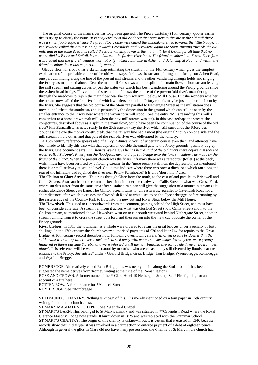The original course of the main river has long been queried. The Priory Cartulary (15th century) quotes earlier deeds trying to clarify the issue. *'It is conjected from old evidence that once next to the site of the old mill there was a small footbridge, whence the great Stour, otherwise called the embankment, led towards the little bridge; it is elsewhere called the Stour running towards Cavendish, and elsewhere again the Stour running towards the old mill, and in the same deed it is called the Stour running towards the malt mill. Be it known for all time that no water divides Essex and Suffolk here at Clare on the further river bank. The friars' meadow is in Essex. Therefore it is evident that the friars' meadow was not only in Clare but also in Ashen and Belchamp St Paul, and within the friars' meadow there was no partition by water.'* 

 Gladys Thornton's book has a sketch map estimating the situation in the 14th century which gives the simplest explanation of the probable course of the old waterways. It shows the stream splitting at the bridge on Ashen Road, one part continuing along the line of the present mill stream, and the other wandering through fields and ringing the Priory, as mentioned above. Near the malt mill she shows another split in the main flow, a short stream leaving the mill stream and cutting across to join the waterway which has been wandering around the Priory grounds since the Ashen Road bridge. This combined stream then follows the course of the present 'old river', meandering through the meadows to rejoin the main flow near the corn watermill below Mill House. But she wonders whether the stream now called the 'old river' and which wanders around the Priory rounds may be just another ditch cut by the friars. She suggests that the old course of the Stour ran parallel to Nethergate Street as the millstream does now, but a little to the southeast, and is presumably the depression in the ground which can still be seen by the smaller entrance to the Priory near where the Saxon corn mill stood. (See the entry \*Mills regarding this mill's conversion to a horse-drawn malt mill when the new mill stream was cut). In this case perhaps the stream she conjectures, described above as a 'split in the main flow', could have been the continuation of the course of the old river? Mrs Barnardiston's notes (early in the 20th century) say the river which still surrounds the Priory was 'doubtless the one the monks constructed', that the railway line had a moat (the original Stour?) on one side and the mill stream on the other, and that part of the real old river was obliterated by the railway.

 A 16th century reference speaks also of a *'Seynt Annes Ryver'*, of uncertain course even then, and attempts have been made to identify this also with that depression outside the small gate to the Priory grounds, possibly dug by the friars. One document says *'Sir Thomas WeIde says he has heard said of the old friars there before him that the water called St Anne's River from the floodgates next to the great bridge unto the lord's meadow was made by the friars of the place'*. When the present church was the friars' infirmary there was a reredorter (toilets) at the back, which must have been serviced by a flowing stream. In the (more recent) wall near the depression just mentioned there is a small archway at ground level. Could this indicate where there was once a ditch, one which ran along the rear of the infirmary and rejoined the river near Priory Farmhouse? It is all a 'don't know' area.

**The Chilton** or **Clare Stream.** This runs through Clare from the north, to the east of and parallel to Bridewell and Callis Streets. A stream from the common flows into it under the roadway in Callis Street at what was Gosse Ford, where surplus water from the same area after sustained rain can still give the suggestion of a mountain stream as it rushes alongside Sheepgate Lane. The Chilton Stream turns to run eastwards, parallel to Cavendish Road for a short distance, after which it crosses the Cavendish Road at what used to be the Pysenebregge, before running by the eastern edge of the Country Park to flow into the new cut and River Stour below the Mill House.

**The Hawedych**. This used to run southwards from the common, passing behind the High Street, and must have been of considerable size. A stream ran from it across what was Gosford Street (now Callis Street) and into the Chilton stream, as mentioned above. Hawedych went on to run south-westward behind Nethergate Street, another stream running from it to cross the street by a ford and then run on into the 'new cut' opposite the corner of the Priory grounds.

**River bridges**. In 1318 the townsmen as a whole were ordered to repair the great bridges under a penalty of forty shillings. In the 17th century the church vestry authorised payments of £20 and later £14 for repairs to the Great Bridge. A 16th century record describes how, following overflowing rivers, *'iij or iiij greate bridges within the said towne were altogeather overturned and carried away with water, soe her majesties subjectes were greatly hindered in theire passage thereby, and were inforsed untill the new building thereof to ride three or ffoure miles about'.* This reference will be well understood by motorists who are occasionally still diverted by floods near the entrance to the Priory. See entries\* under:- Gosford Bridge, Great Bridge, Iron Bridge, Pysenebregge, Rombregge, and Wytfont Bregge.

ROMBREGGE. Alternatively called Rum Bridge, this was nearly a mile along the Stoke road. It has been suggested the name derives from 'Rome', hinting at the time of the Roman legions.

ROSE AND CROWN. A former name of the \*\*Clare Hotel 19 Nethergate Street). See \*Fire fighting for an account of a fire here.

ROTTEN ROW. A former name for \*\*Church Street. RUM BRIDGE. See \*Rombregge.

ST EDMUND'S CHANTRY. Nothing is known of this. It is merely mentioned on a torn paper in 16th century writing found in the church chest.

ST MARY MAGDALENE CHAPEL. See \*Wentford Chapel.

ST MARY'S BARN. This belonged to St Mary's chantry and was situated in \*\*Cavendish Road where the Royal Clarence Masons' Lodge now stands. It burnt down in 1825 and was replaced with the Grammar School. ST MARY'S CHANTRY. The origin of this chantry is unknown, but it is certain that it existed in 1346 because records show that in that year it was involved in a court action to enforce payment of a debt of eighteen pence. Although in general the gilds in Clare did not have many possessions, the Chantry of St Mary in the church had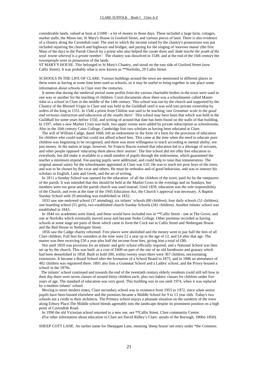considerable lands, valued at least at £1000 - a lot of money in those days. These included a large farm, cottages, market stalls, the Moon inn, St Mary's House in Gosford Street, and various pieces of land. There is also evidence of a chantry along the Cavendish road. The uses to which the income raised by the chantry's possessions was put included repairing the church and highways and bridges, and paying for the singing of 'morowe masse' (the first Mass of the day) in the Parish Church by a priest who also helped the curate there and *'dede teache the youth of the seyd towne whereof is a greate nomber*.' The chantry was dissolved in 1549, and at the end of the 16th century the townspeople were in possession of the lands.

ST MARY'S HOUSE. This belonged to St Mary's Chantry, and stood on the east side of Gosford Street (now Callis Street). It was probably what is now known as \*\*Norfolks, 29 Callis Street.

SCHOOLS IN THE LIFE OF CLARE. Various buildings around the town are mentioned in different places in these notes as having at some time been used as schools, so it may be useful to bring together in one place some information about schools in Clare over the centuries. It seems that during the medieval period some profits from the various charitable bodies in the town were used in

one way or another for the teaching of children. Court documents show there was a schoolmaster called Master John in a school in Clare in the middle of the 14th century. This school was run by the church and supported by the Chantry of the Blessed Virgin in Clare and was held in the Guildhall until it was sold into private ownership by orders of the king in 1551. In 1546 a priest from Chilton was said to be teaching *'one Grammar scole to the good and vertuous instruction and educacyon of the vouths there'*. This school may have been that which was held in the Guildhall for some years before 1550, and writing of around that date has been found on the walls of that building. In 1597, when a new Market Cross was built, two upper rooms were added by private subscription as schoolrooms. Also in the 16th century Caius College, Cambridge lists two scholars as having been educated at Clare.

 The will of William Cadge, dated 1668, left an endowment in the form of a farm for the provision of education for children who could read but could not afford school fees. This came at the time when the need to educate poor children was beginning to be recognised, and there was more willingness to teach according to mental ability, not just money. In the nation at large, however, Sir Francis Bacon warned that education led to a shortage of servants, and other people opposed *'educating them above their station'.* The free school did not offer free education to everybody, but did make it available to a small number of pupils through the endowment, which guaranteed the teacher a minimum stipend. Fee-paying pupils were additional, and could help to raise that remuneration. The original annual salary for the schoolmaster appointed at Clare was £10. He was to teach ten poor boys of the town, and was to be chosen by the vicar and others. He must be orthodox and of good behaviour, and was to instruct his scholars in English, Latin and Greek, and the art of writing.

 In 1811 a Sunday School was opened for the education of all the children of the town, paid for by the ratepayers of the parish. It was intended that this should be held at the Market Cross in the evenings and on Sundays, but numbers were too great and the parish church was used instead. Until 1839, education was the sole responsibility of the Church, and even at the time of the 1945 Education Act, the Church's approval was necessary. A Baptist Sunday School with 29 attending was established in 1832.

 1833 saw one endowed school (37 attending), six infants' schools (80 children), four daily schools (51 children), one boarding school (51 girls), two established church Sunday Schools (281 children). Another infants' school was established in 1843.

 In 1844 six academies were listed, and these would have included two in \*\*Callis Street - one at The Grove, and one at Norfolks which eventually moved away and became Stoke College. Other premises recorded as having schools at some stage are parts of those which came to form the Cock inn in Callis Street and Nethergate House and the Red House in Nethergate Street.

 1856 saw the Cadge charity reformed. Free places were abolished and the money went to pay half the fees of all Clare children. Full fees for outsiders at the time were £2 a year up to the age of 12, and £4 after that age. The master was then receiving £50 a year plus half the income from fees, giving him a total of £80.

 Not until 1859 was provision for an infants' and girls' school officially required, and a National School was then set up by the church. This was built ,at a cost of £600 on part of the site of an old farmhouse and granary which had been demolished in 1858. Built to hold 200, within twenty years there were 367 children, necessitating extensions. It became a Board School after the formation of a School Board in 1875, and in 1886 an attendance of 402 children was registered there. 1891 also lists a Grammar School and a Ladies' school, and the Priory housed a school in the 1870s.

 The infants' school continued and towards the end of the twentieth century elderly residents could still tell how in their day there were seven classes of around thirty children each, plus two babies' classes for children under five years of age. The standard of education was very good. This building was in use until 1974, when it was replaced by a modern infants' school.

 Moving to more modern times, Clare secondary school was in existence from 1955 to 1972, since when senior pupils have been bussed elsewhere and the premises became a Middle School for 9 to 13 year olds. Today's two schools are a credit to their architects. The Primary school enjoys a pleasant situation on the outskirts of the town along Erbury Place.The Middle school blends agreeably into the landscape despite its prominent position on a high point of Cavendish Road.

 In 1990 the old Victorian school returned to a new use, see \*\*Callis Street, Clare community Centre. (For other information about education in Clare see David Ridley's Clare: annals of the Borough, 1800o-1850).

SHEEP COTT LANE. An earlier name for Sheepgate Lane, meaning 'sheep house' see entry under \*the Common.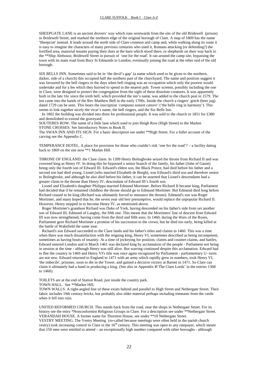SHEEPGATE LANE is an ancient drovers' way which runs westwards from the site of the old Bridewell (prison) in Bridewell Street, and marked the northern edge of the original borough of Clare. A map of 1809 has the name 'Sheepcott' instead. It leads around the north side of Clare common and camp and, while walking along its route it is easy to imagine the characters of many previous centuries who used it, Romans attacking (or defending?) the fortified area, manorial tenants paying their dues at the barn which stood there, or shepherds on their way back to the \*\*Ship Alehouse, Bridewell Street in pursuit of 'one for the road'. It ran around the camp site, bypassing the town with its main road from Bury St Edmunds to London, eventually joining the road at the other end of the old borough.

SIX BELLS INN. Sometimes said to be in 'the devil's gap' (a name which used to be given to the northern, darker, side of a church) this occupied half the northern part of the churchyard. The name and position suggest it was favoured by the bell ringers in the days when bell ringing was an occupation which only the poorest would undertake and for a fee which they hurried to spend in the nearest pub. Tower screens, possibly including the one in Clare, were designed to protect the congregation from the sight of these dissolute creatures. It was apparently built in the late 16c since the sixth bell, which provided the inn's name, was added to the church peal in 1579. The inn came into the hands of the Rev Matthew Bell in the early 1700s. Inside the church a ringers' gotch (beer jug) dated 1729 can be seen. This bears the inscription *'campana sonant canore'* ('the bells ring in harmony'). This seems to link together nicely the vicar's name, the bell ringers, and the Six Bells Inn.

 In 1802 the building was divided into three for professional people. It was sold to the church in 1851 for £380 and demolished to extend the graveyard.

SOUTERES ROW. The name of a little lane which used to join Heigh Row (High Street) to the Market. STONE CROSSES. See Introductory Notes in Book II.

The SWAN INN AND ITS SIGN. For a basic description see under \*\*High Street. For a fuller account of the carving see the Appendix C.

TEMPERANCE HOTEL. A place for provision for those who couldn't risk 'one for the road'? – a facility dating back to 1869 on the site now \*\*1 Market Hill*.*

THRONE OF ENGLAND: the Clare claim. In 1399 Henry Bolingbroke seized the throne from Richard II and was crowned king as Henry IV. In doing this he bypassed a senior branch of the family, his father (John of Gaunt) being only the fourth son of Edward III. Edward's eldest son, the Black Prince, had died before his father and a second son had died young. Lionel (who married Elizabeth de Burgh), was Edward's third son and therefore senior to Bolingbroke, and although he also died before his father, it can be asserted that Lionel's descendants had a greater claim to the throne than Henry IV, descendant of Edward III's fourth son.

 Lionel and Elizabeth's daughter Philippa married Edmund Mortimer. Before Richard II became king, Parliament had decided that if he remained childless the throne should go to Edmund Mortimer. But Edmund died long before Richard ceased to be king (Richard was ultimately forced to renounce the throne). Edmund's son was Roger Mortimer, and many hoped that he, the seven year old heir presumptive, would replace the unpopular Richard II. However, Henry stepped in to become Henry IV, as mentioned above.

 Roger Mortimer's grandson Richard was Duke of York, having descended on his father's side from yet another son of Edward III, Edmund of Langley, the fifth one. This meant that the Mortimers' line of descent from Edward III was now strengthened, having come from the third and fifth sons. In 1460, during the Wars of the Roses, Parliament gave Richard Mortimer a promise of his succession to the crown, but he died too early, being killed at the battle of Wakefield the same year.

 Richard's son Edward succeeded to the Clare lands and his father's titles and claims in 1460. This was a time when there was much dissatisfaction with the reigning king, Henry VI, sometimes described as being incompetent, sometimes as having bouts of insanity. At a time of jockeying for position, claims and counter-claims, and battles, Edward entered London and in March 1461 was declared king by acclamation of the people - Parliament not being in session at the time - although Henry was still alive. But warring continued despite this acclamation. Edward had to flee the country in 1469 and Henry VI's title was once again recognized by Parliament - parliamentary U- turns are not new. Edward returned to England in 1471 with an army which rapidly grew in numbers, took Henry VI, 'the imbecile', prisoner, soon to die in the Tower, and gained a decisive victory at Barnet in 1471. So Clare can claim it ultimately had a hand in producing a king. (See also in Appendix B'The Clare Lords' in the entries 1368 to 1460).

TOILETS are at the end of Station Road, just inside the country park. TOWN HALL. See \*\*Market Hill.

TOWN WALLS. A right-angled line of these exists behind and parallel to High Street and Nethergate Street. Their fabric includes 19th century bricks, but probably also older material perhaps including remnants from the castle when it fell into ruin.

UNITED REFORMED CHURCH. This stands back from the road, near the shops in Nethergate Street. For its history see the entry \*Nonconformist Religious Groups in Clare. For a description see under \*\*Nethergate Street. VERANDAH HOUSE. A former name for Thornton House, see under \*\*10 Nethergate Street. VESTRY MEETING. The Vestry Meeting (so-called because meetings were often held in the parish church

vestry) took increasing control in Clare in the  $16<sup>th</sup>$  century. This meeting was open to any ratepayer, which meant that 150 men were entitled to attend – an exceptionally high number compared with other boroughs - although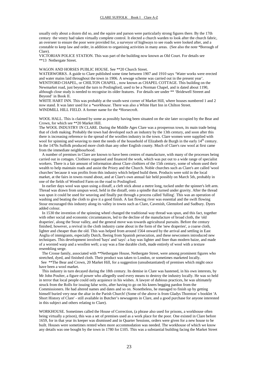usually only about a dozen did so, and the squire and parson were particularly strong figures there. By the 17th century the vestry had taken virtually complete control. It elected a church warden to look after the church fabric, an overseer to ensure the poor were provided for, a surveyor of highways to see roads were looked after, and a constable to keep law and order, in addition to organising activities in many areas. (See also the note \*Borough of Clare).

VICTORIAN POLICE STATION. This was part of the building now known as Old Court. For details see \*\*13 Nethergate Street.

#### WAGON AND HORSES PUBLIC HOUSE. See \*\*20 Church Street.

WATERWORKS. A guide to Clare published some time between 1907 and 1910 says 'Water works were erected and water mains laid throughout the town in 1906. A sewage scheme was carried out in the present year'. WENTFORD CHAPEL, or CHILTON CHAPEL, now known as CHAPEL COTTAGE. This building on the Newmarket road, just beyond the turn to Poslingford, used to be a Norman Chapel, and is dated about 1190, although close study is needed to recognise its older features. For details see under \*\* 'Bridewell Streeet and Beyond' in Book II.

WHITE HART INN. This was probably at the south-west corner of Market Hill, where houses numbered 1 and 2 now stand. It was later used for a *\*workhouse*. There was also a White Hart Inn in Chilton Street. WINDMILL HILL FIELD. A former name for the \*Horsecroft.

WOOL HALL. This is claimed by some as possibly having been situated on the site later occupied by the Bear and Crown, for which see \*\*20 Market Hill.

The WOOL INDUSTRY IN CLARE. During the Middle Ages Clare was a prosperous town, its main trade being that of cloth making. Probably the town had developed such an industry by the 13th century, and soon after this there is increasing reference to the spread of the woollen industry in the town. Clare women were supplied with wool for spinning and weaving to meet the needs of the household of Elizabeth de Burgh in the early 14<sup>th</sup> century. In the 1470s Suffolk produced more cloth than any other English county. Much of Clare's raw wool at first came from the immediate neighbourhood.

 A number of premises in Clare are known to have been centres of manufacture, with many of the processes being carried out in cottages. Clothiers organised and financed the work, which was put out to a wide range of specialist workers. There is a fair amount of information about Clare clothiers of the 15th century, some of whom used their wealth to help maintain roads and assist the Priory and the Church. Noble churches such as Clare's are called 'wool churches' because it was profits from this industry which helped build them. Products were sold in the local market, at the fairs in towns round about, and at Clare's own annual fair held possibly on March 5th, probably in one of the fields of Wentford Farm on the road to Poslingford.

 In earlier days wool was spun using a distaff, a cleft stick about a metre long, tucked under the spinner's left arm. Thread was drawn from unspun wool, held in the distaff, onto a spindle that turned under gravity. After the thread was spun it could be used for weaving and finally put through a process called 'fulling'. This was an operation of washing and beating the cloth to give it a good finish. A fast flowing river was essential and the swift flowing Stour encouraged this industry along its valley in towns such as Clare, Cavenish, Glemsford and Sudbury. Dyers added colour.

 In 1530 the invention of the spinning wheel changed the traditional way thread was spun, and this fact, together with other social and economic circumstances, led to the decline of the manufacture of broad cloth, the 'old draperies', along the Stour valley, and the general move was towards agricultural pursuits. Before the century finished, however, a revival in the cloth industry came about in the form of the 'new draperies', a coarse cloth, lighter and cheaper than the old. This was helped from around 1564 onward by the arrival and settling in East Anglia of immigrants, especially Dutch, fleeing from Spanish persecution, and these newcomers introduced new techniques. This development involved 'bays' and 'says': a bay was lighter and finer than modern baize, and made of a worsted warp and a woollen weft; a say was a fine durable cloth, made entirely of wool with a texture resembling serge.

 The Crosse family, associated with \*\*Nethergate House, Nethergate Street, were among prominent figures who stretched, dyed, and finished cloth. Their product was taken to London, or sometimes marketed locally. See \*\*The Bear and Crown, 20 Market Hill, for a suggestion (unsubstantiated) of premises which might once have been a wool market.

 This industry in turn decayed during the 18th century. Its demise in Clare was hastened, in his own interests, by Mr John Poulter, a figure of power who allegedly used every means to destroy the industry locally. He was so held in terror that local people could only acquiesce in his wishes. A lawyer of dubious practices, he was ultimately struck from the Rolls for issuing false writs, after having to go on his knees begging pardon from the Commissioners. He had altered names and dates and so on. Nonetheless, he managed to finish up by getting himself buried very near the altar in the Parish Church! (Some of the above is from Gladys Thornton' s booklet 'A Short History of Clare' - still available in Butcher's newsagents in Clare, and a good purchase for anyone interested in this subject and others relating to Clare).

WORKHOUSE. Sometimes called the House of Correction, (a phrase also used for prisons, a workhouse often being virtually a prison), this was a set of premises used as a work place for the poor. One existed in Clare before 1659, for in that year its keeper was dismissed and in Quarter Sessions, orders were given for a new house to be built. Houses were sometimes rented when more accommodation was needed. The workhouse of which we know any details was one bought by the town in 1780 for £105. This was a substantial building facing the Market Street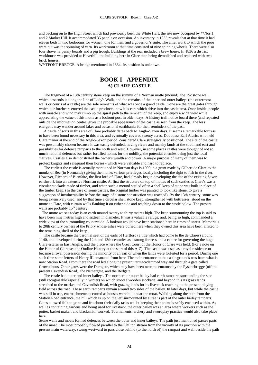and backing on to the High Street which had previously been the White Hart, the site now occupied by \*\*Nos.1 and 2 Market Hill. It accommodated 35 people on occasion. An inventory in 1833 reveals that at that time it had eleven beds in two bedrooms for women, one for men, and a governor's suite. The chief work to which the poor were put was the spinning of yarn. Its workroom at that time consisted of nine spinning wheels. There were also four shove ha'penny boards and a pig trough. Buildings at the rear included a brew house. In 1836 a district workhouse was provided at Haverhill, the building here in Clare then being demolished and replaced with two brick houses.

WYTFONT BREGGE. A bridge mentioned in 1334. Its position is unknown.

# **BOOK I APPENDIX A) CLARE CASTLE**

 The fragment of a 13th century stone keep on the summit of a Norman motte (mound), the 15c stone wall which descends it along the line of Lady's Walk, and the remains of the inner and outer baileys (the outermost walls or courts of a castle) are the sole remnants of what was once a grand castle. Gone are the great gates through which our forebears entered the castle precincts: now it is cars which drive into the castle area. Once inside, people with muscle and wind may climb up the spiral path to the remnant of the keep, and enjoy a wide view while appreciating the value of this motte as a lookout post in olden days. A history trail notice board there (and repeated outside the information centre) gives the probable appearance of the castle as seen from the keep. The less energetic may wander around lakes and occasional earthbanks for their reminders of the past.

 A castle of sorts in this area of Clare probably dates back to Anglo-Saxon days. It seems a remarkable fortress to have been found necessary in this area, and eventually covered twenty acres. Doubtless Earl Aluric, who held Clare manor at the end of the Anglo-Saxon period, considered Clare strategically positioned. The site of the castle was presumably chosen because it was easily defended, having rivers and marshy lands at the south and east and possibilities for defence ramparts to the north and west. However, in some places castles were thought of not so much national defences but rather fortified homes for the nobility, the potential enemies being just the local 'natives'. Castles also demonstrated the owner's wealth and power. A major purpose of many of them was to

protect knights and safeguard their horses - which were valuable and hard to replace. The earliest the castle is actually mentioned in Norman days is 1090 in a grant made by Gilbert de Clare to the monks of Bec (in Normandy) giving the monks various privileges locally including the right to fish in the river. However, Richard of Bienfaite, the first lord of Clare, had already begun developing the site of the existing Saxon earthwork into an extensive Norman castle. At first the structure on top of mottes of such castles as Clare's was a circular stockade made of timber, and when such a mound settled often a shell keep of stone was built in place of the timber keep. (In the case of some castles, the original timber was painted to look like stone, to give a suggestion of invulnerability before the stage of a stone construction was reached). By the 13th century, stone was being extensively used, and by that time a circular shell stone keep, strengthened with buttresses, stood on the motte at Clare, with curtain walls flanking it on either side and reaching down to the castle below. The present walls are probably 15<sup>th</sup> century.

 The motte we see today is an earth mound twenty to thirty metres high. The keep surmounting the top is said to have been nine metres high and sixteen in diameter. It was a valuable refuge, and, being so high, commanded a wide view of the surrounding countryside. A lookout would have been stationed here in times of unrest. Memorials to 20th century owners of the Priory whose ashes were buried here when they owned this area have been affixed to the remaining shell of the keep.

 The castle became the baronial seat of the earls of Hertford (a title which had come to the de Clares) around 1140, and developed during the 12th and 13th centuries as a strong fortress and a centre for governing the huge Clare estates in East Anglia, and the place where the Great Court of the Honor of Clare was held. (For a note on the Honor of Clare see the Outline History at the start of this A-Z). The castle was used as a royal residence or became a royal possession during the minority of an earl or when the lands were forfeited for a period. During one such time some letters of Henry III emanated from here. The main entrance to the castle grounds was from what is now Station Road. From there the road led along the present tarmacadammed way and through a gate called Crowedhous. Other gates were the Derngate, which may have been near the entrance by the Pysenebregge (off the present Cavendish Road), the Nethergate, and the Redgate.

 The castle had outer and inner baileys. The northern or outer bailey had earth ramparts surrounding the site (still recognisable especially in winter) on which stood a wooden stockade, and beyond this its grass lands stretched to the market and Cavendish Road, with grazing lands for its livestock reaching to the present playing field across the road. These earth ramparts remain around two sides of the bailey. In later days, but while the castle was still in use, encroachments occurred as houses were built near the moat. Walking along the path from the Station Road entrance, the hill which is up on the left surmounted by a tree is part of the outer bailey ramparts. Gates allowed folk to go to and fro about their daily tasks whilst keeping their animals safely enclosed within. As well as containing gardens and being used for livestock, the outer bailey was an area where workers such as the potter, basket maker, and blacksmith worked. Tournaments, archery and swordplay practice would also take place here.

Stone walls and moats formed defences between the outer and inner baileys. The path just mentioned passes parts of the moat. The moat probably flowed parallel to the Chilton stream from the vicinity of its junction with the present main waterway, swung westward to pass close behind (to the north of) the rampart and wall beside the path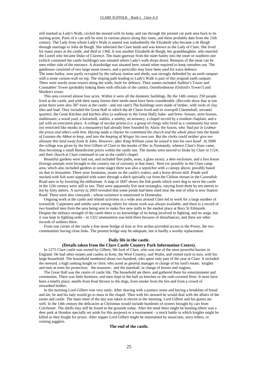still marked as Lady's Walk, circled the mound with its keep, and ran through the present car park area back to its starting point. Parts of it can still be seen in various places along this route, and these probably date from the 15th century. The Lady from whom Lady's Walk is named was undoubtedly the Elizabeth who became a de Burgh through marriage to John de Burgh. She inherited the Clare lands and was known as the Lady of Clare. She lived for many years at the castle, and died in 1360. It was another Elizabeth de Burgh, her granddaughter, who married the Lionel who became Duke of Clarence. The main gateway from the outer bailey into the inner or southern one (which contained the castle buildings) was situated where Lady's walk drops down. Remains of the moat can be seen either side of the entrance. A drawbridge was situated here, raised when required to keep intruders out. The gatehouse consisted of two large stone towers, and a portcullis may have been used for extra defence. The inner bailey, now partly occupied by the railway station and sheds, was strongly defended by an earth rampart with a stone curtain-wall on top. The sloping path leading to Lady's Walk is part of this original earth rampart. There were sturdy stone towers along the walls, built for defence. Their names included Auditor's Tower and Constables' Tower (probably linking them with officials of the castle), Oxenfordestour (Oxford's Tower?) and Maiden's tower.

 This area covered almost four acres. Within it were all the domestic buildings. By the 14th century 250 people lived at the castle, and with their many horses their needs must have been considerable. (Records show that at one point there were also 387 ewes at the castle - and one ram!) The buildings were made of timber, with roofs of clay tiles and lead. They included the Great Hall in which the de Clares lived and its overspill Clarettehall, servants' quarters, the Great Kitchen and kitchen alley (a walkway to the Great Hall), bake- and brew- houses, store houses, malthouses, a wood yard, a horsemill, stables, a smithy, an armoury, a chapel served by a resident chaplain, and a jail with an execution place. A college of secular priests (i.e. a group of clergy who lived as a community but were not restricted like monks in a monastery) had already been founded by Aluric the Saxon, who *'had put in Ledmar the priest and others with him. Having made a charter he committed the church and the whole place into the hands of Leustan the Abbot to keep, and into the keeping of Wisgar his own son. But the clerks could neither give nor alienate this land away from St John. However, after King William came he seized it into his own hand'.* In 1090 the college was given by the first Gilbert of Clare to the monks of Bec in Normandy, whence Clare's friars came, thus becoming a small Benedictine priory within the castle site. The monks were moved to Stoke by Clare in 1124, and their church at Clare continued in use as the castle's chapel.

 Beautiful gardens were laid out, and included flint paths, seats, a glass aviary, a deer enclosure, and a lion house (foreign animals were brought to the country out of curiosity at that time). Here (or possibly in the Clare camp area, which also included gardens at some stage) there was also a sepulchre with a canopy above, possibly based on that in Jerusalem. There were fountains, swans on the castle's waters, and a horse driven mill. Ponds well stocked with fish were supplied with water through a ditch specially cut from the Chilton stream in the Cavendish Road area or by lowering the millstream. A map of 1847 shows the fish ponds which were dug to serve the castle in the 12th century were still in use. They were apparently five neat rectangles, varying from three by ten metres to ten by forty metres. A survey in 2003 revealed that some ponds had been sited near the end of what is now Station Road. There were also vineyards - whose existence is mentioned in Domesday.

 Ongoing work at the castle and related activities in a wide area around Clare led to work for a large number of townsfolk. Carpenters and smiths were among others for whom work was always available, and there is a record of two hundred men from the area being sent to make five new stalls in the market place at Bury St Edmunds. Despite the military strength of the castle there is no knowledge of its being involved in fighting, and no seige, but it was kept in fighting order - in 1322 ammunition was held there because of disturbances, and there are other records of soldiers there.

 From one corner of the castle a fine stone bridge of four or five arches provided access to the Priory, the two communities having close links. The present bridge may be adequate, but is hardly a worthy replacement.

#### **Daily life in the castle.**

# **(Details taken from the Clare Castle Country Park Information Centre).**

 In 1275 Clare castle was owned by Gilbert, 9th lord of Clare, who was one of the most powerful barons in England. He had other estates and castles in Kent, the West Country, and Wales, and visited each in turn, with his large household. The household numbered about two hundred, who spent only part of the year at Clare. It included the steward, a high ranking knight or cleric who acted as general manager in charge of his lord's estate; knights and men at arms for protection; the treasurer; and the marshall, in charge of horses and wagons.

 The Great Hall was the centre of castle life. The household ate there, and gathered there for entertainment and ceremonies. There was little furniture, and men slept in the hall on benches or the rush-covered floor. It must have been a smelly place, smells from food thrown to the dogs, from smoke from the fire and from a crowd of unwashed bodies.

 In the morning Lord Gilbert rose very early. After shaving with a pumice stone and having a breakfast of bread and ale, he and his lady would go to mass in the chapel. Then with his steward he would deal with the affairs of the estate and castle. The main meal of the day was taken at eleven in the morning. Lord Gilbert and his guests ate well. In the 14th century the delicacies at Christmas would include hundreds of oysters brought by cart from Colchester. The shells may still be found in the grounds today. After the meal there might be hunting (there was a deer park at Hundon specially set aside for this purpose) or a tournament - a mock battle in which knights might be killed as they fought for prizes. After supper Lord Gilbert might be entertained by musicians, story tellers, or visiting jugglers.

#### **The end of the castle.**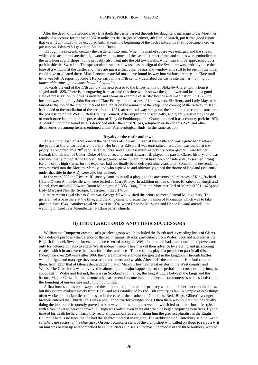After the death of the second Lady Elizabeth the castle passed through her daughter's marriage to the Mortimer family. An account for the year 1387-8 indicates that Roger Mortimer, 4th Earl of March, put it into good repair that year. It continued to be occupied until at least the beginning of the 15th century. In 1495 it became a crown possession. Edward VI gave it to Sir John Cheke.

 Through the sixteenth century the castle fell into ruin. When the market square was enlarged and the streets widened to accommodate the large wool wagons, much of the castle's timber, flints and stones were embodied in the new houses and shops. Some probably also went into the old town walls, which can still be approached by a path beside the Swan Inn. The spectacular structure now used as the sign of the Swan inn was probably once the base of a window at the castle, and there are guesses that other beams and window sills still to be seen in the town could have originated there. Miscellaneous material must have found its way into various premises in Clare until little was left. A report by Robert Reyce early in the 17th century described the castle site then as *'nothing but lamentable ruins upon a most beautiful situation'*.

 Towards the end of the 17th century the area passed to the Elwes family of Stoke-by-Clare, with whom it stayed until 1825. There is an engraving from around this time which shows the gate-tower and keep in a good state of preservation, but this is undated and seems an example of artistic licence and imagination. In 1825 the location was bought by John Barker of Clare Priory, and the ashes of later owners, Sir Henry and Lady May, were buried at the top of the mound, marked by a tablet on the remnant of the keep. The coming of the railway in 1865 had added to the mutilation of the area, but in 1971, after the railway had gone, the land it had occupied came into the possession of the West Suffolk County Council. After improving it scenically, and greatly assisted by the gift of much more land then in the possession of Tony de Fonblanque, the Council opened it as a country park in 1972. A beautiful crucifix found here is described under the entry 'Cross, reliquary' earlier in this A-Z, and other discoveries are among items mentioned under 'Archaeological finds' in the same section.

#### **Royalty at the castle and town.**

 At one time, Joan of Acre, one of the daughters of Edward I, lived at the castle and was a great benefactor of the people at Clare, particularly the friars. Her brother Edward II was entertained here. Joan was buried at the priory, as recorded on a 20<sup>th</sup> century tablet there, and a vast assembly of nobility converged on Clare for her funeral. Lionel, Earl of Ulster, Duke of Clarence, and son of Edward III, played his part in Clare's history, and was also eventually buried at the Priory. The pageantry at his funeral must have been considerable, as seemed fitting for one of his high status, for the expenses had not finally been defrayed nine years later. Some of his descendants who married into the Mortimer family, and who aspired to and ultimately gained the throne of England (see entry under that title in the A-Z) were also buried here.

 In the year 2002 the Richard III society came to install a plaque to the ancestors and relatives of King Richard III and Queen Anne Neville who were buried at Clare Priory. In addition to Joan of Acre, Elizabeth de Burgh and Lionel, they included Edward Baron Monthermer (1303-1340), Edmund Mortimer Earl of March (1391-1425) and Lady Margaret Neville (Scrope, Cressener), (died 1463).

 A more recent royal visit to Clare was George VI who visited the priory to meet General Montgomery. The general had a base there at the time, and the king came to discuss the invasion of Normandy which was to take place in June 1944. Another royal visit was in 1994, when Princess Margaret and Prince Edward attended the wedding of Lord Ivar Mountbatten at Clare parish church.

#### **B) THE CLARE LORDS AND THEIR SUCCESSORS**

 William the Conqueror created earls (a select group which included the fourth and succeeding lords of Clare) for a definite purpose - the defence of the realm against attacks, particularly from Wales, Scotland and across the English Channel. Several, for example, were settled along the Welsh border and had almost unlimited power, not only for defence but also to attack Welsh independence. They marked their advance by erecting and garrisoning castles, which in turn were the bases for further advances. The de Clares played a prominent part in all this. Indeed, for over 250 years after 1066 the Clare lords were among the greatest in the kingdom. Through battles, wars, intrigue and marriage they amassed great power and wealth. After 1141 the earldom of Hertford came to them, from 1217 that of Gloucester, and then that of March. They held great estates in the West country and Wales. The Clare lords were involved in almost all the major happenings of the period - the crusades, pilgrimages, conquests in Wales and Ireland, the wars in Scotland and France, the long struggle between the kings and the barons, Magna Carta, the first 'democratic' parliament (i.e. one including elected commoners as well as lords) and the founding of universities and church buildings.

 A first born son has not always had the automatic right to assume primacy with all its inheritance implications, but this system evolved slowly from 1066, and was established by the 13th century as law. A sample of how things often worked out in families can be seen in the case of the brothers of Gilbert the Red. Bogo, Gilbert's younger brother, entered the Church. This was a popular course for younger sons. Often there was no intention of actually doing the job, but it frequently proved to be a way of attracting great wealth, which led to a luxurious life style, with a free ticket to heaven thrown in. Bogo was only eleven years old when he began acquiring benefices. By the time of his death he held nearly fifty rectorships, canonries etc., making him the greatest pluralist in the English Church. There is no trace that he had the slightest interest in religion. The archbishop of Canterbury said he*'was a ravisher*, *not rector, of his churches'*. On one occasion a clerk of the archbishop who called on Bogo to serve a writ on him was beaten up and compelled to eat the letters and seals. Thomas, the middle of the three brothers, worked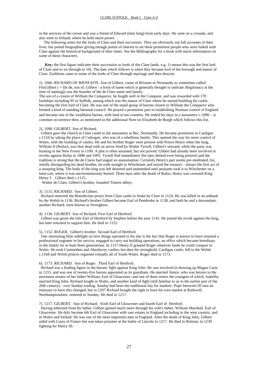in the services of the crown and was a friend of Edward (later king) from early days. He went on a crusade, and also went to Ireland, where he held much power.

 The following notes list the lords of Clare and their successors. They are obviously not full accounts of their lives, but potted biographies giving enough points of interest to set these prominent people who were linked with Clare against the historical background of their times. See the Bibliography for a book with much information on some of these characters.

 **Key:** the first figure indicates their succession as lords of the Clare lands. e.g. 1) means this was the first lord of Clare and so on through to 10). The date which follows is when they became lord of the borough and manor of Clare. Earldoms came to some of the lords of Clare through marriage and then descent.

1). 1066. RICHARD OF BIENFAITE. Son of Gilbert, count of Brionne in Normandy so sometimes called FitzGilbert ( = fils de, son of, Gilbert - a form of name which is generally thought to indicate illegitimacy at the time of naming)) was the founder of the de Clare name and family.

The son of a cousin of William the Conqueror, he fought well in the Conquest, and was rewarded with 170 lordships including 95 in Suffolk, among which was the manor of Clare where he started building his castle, becoming the first lord of Clare. He was one of the small group of barons closest to William the Conqueror who formed a kind of standing baronial council. He played a prominent part in establishing Norman control of England and became one of the wealthiest barons, with land in ten counties. He ended his days in a monastery c.1090 – a common occurrence then, as mentioned in the additional Note on Elizabeth de Burgh which follows this list.

#### 2). 1090. GILBERT. Son of Richard.

 Gilbert gave the church in Clare castle to the monastery at Bec, Normandy. He became prominent in Cardigan c.1110 by taking the place of Cadwgan, who was of a rebellious family. This opened the way for more control of Wales, with the building of castles. He and his brother Roger were present with Prince Henry when the king, William II (Rufus), was shot dead with an arrow fired by Walter Tyrrell, Gilbert's steward, while the party was hunting in the New Forest in 1100. A plot is often assumed, but not proved. Gilbert had already been involved in revolts against Rufus in 1088 and 1095. Tyrrell fled immediately (he later denied even being present) and the tradition is strong that the de Clares had staged an assassination. Certainly Henry's part seems pre-meditated, for, wholly disregarding his dead brother, he rode straight to Winchester and seized the treasury - always the first act of a usurping king. The body of the king was left deserted and unattended until peasants took it to Winchester on a farm cart, where it was unceremoniously buried. Three days after the death of Rufus, Henry was crowned King Henry I. Gilbert died c.1115.

Walter de Clare, Gilbert's brother, founded Tintern abbey.

#### 3). 1115. RICHARD. Son of Gilbert.

 Richard removed the Benedictine priory from Clare castle to Stoke by Clare in 1124. He was killed in an ambush by the Welsh in 1136. Richard's brother Gilbert became Earl of Pembroke in 1138, and both he and a descendant, another Richard, were known as Strongbow.

### 4). 1136. GILBERT. Son of Richard. First Earl of Hertford.

 Gilbert was given the title Earl of Hertford by Stephen before the year 1141. He joined the revolt against the king, but later returned to support him. He died in 1152.

#### 5). 1152. ROGER, Gilbert's brother. Second Earl of Hertford.

 One interesting little sidelight on how things operated in his day is the fact that Roger is known to have retained a professional engineer in his service, engaged to carry out building operations, an office which became hereditary in the family for at least three generations. In 1157 Henry II granted Roger whatever lands he could conquer in Wales. He took Carmarthen and Aberdovey castles, but then his stronghold, Cardigan castle, fell to the Welsh c.1168 and Welsh princes regained virtually all of South Wales. Roger died in 1173.

#### 6). 1173. RICHARD. Son of Roger. Third Earl of Hertford.

 Richard was a leading figure in the barons' fight against King John. He was involved in drawing up Magna Carta in 1215, and was one of twenty-five barons appointed as its guardians. He married Amice, who was heiress to the enormous estates of her father William, Earl of Gloucester, and one of three sisters the youngest of which, Isabella, married King John. Richard fought in Wales, and another kind of fight (still familiar to us in the earlier part of the 20th century) - over Sunday trading. Sunday had been the traditional day for markets. Pope Innocent III sent an emissary to have this changed, but in 1207 Richard bought the right to have his own market at Rothwell, Northamptonshire, restored to Sunday. He died in 1217.

#### 7). 1217. GILBERT. Son of Richard. Sixth Earl of Gloucester and fourth Earl of Hertford.

 Having inherited from his father, Gilbert gained much more through his wife's father, William Marshall, Earl of Gloucester. He duly became 6th Earl of Gloucester with vast estates in England including in the west country, and in Wales and Ireland. He was one of the most important men in England. After the death of King John, Gilbert sided with Louis of France but was taken prisoner at the battle of Lincoln in 1217. He died in Brittany in 1230 fighting for Henry III.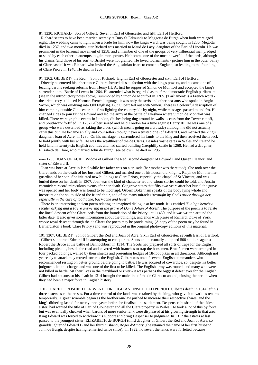8). 1230. RICHARD. Son of Gilbert. Seventh Earl of Gloucester and fifth Earl of Hertford.

 Richard seems to have been married secretly at Bury St Edmunds to Meggotta de Burgh when both were aged eight. The wedding came to light when a bride for him, now the king's ward, was being sought in 1236. Megotta died in 1237, and two months later Richard was married to Maud de Lacy, daughter of the Earl of Lincoln. He was prominent in the baronial movement of 1258, and a member of one of the groups of very influential men pledged to stand by each other in attempts to gain more power. He became one of the most powerful of the lords, although his claims (and those of his son) to Bristol were not granted. He loved tournaments - picture him in the outer bailey of Clare castle! It was Richard who invited the Augustinian friars to come to England, so leading to the founding of Clare Priory in 1248. He died in 1262.

9). 1262. GILBERT ('the Red'). Son of Richard. Eighth Earl of Gloucester and sixth Earl of Hertford. Directly he entered his inheritance Gilbert showed dissatisfaction with the king's powers, and became one of leading barons seeking reforms from Henry III. At first he supported Simon de Montfort and accepted the king's surrender at the Battle of Lewes in 1264. He attended what is regarded as the first democratic English parliament (see in the introductory notes above), summoned by Simon de Montfort in 1265. ('Parliament' is a French word the aristocracy still used Norman French language: it was only the serfs and other peasants who spoke in Anglo-Saxon, which was evolving into Old English). But Gilbert fell out with Simon. There is a colourful description of him camping outside Gloucester, his fires lighting the countryside by night, while messages passed to and fro. He changed sides to join Prince Edward and led the army at the battle of Evesham where Simon de Montfort was killed. There were graphic events in London, ditches being dug around its walls, access from the Tower cut off, and Southwark fortified. In 1267 Gilbert seized and held London for a time against Henry III. He was one of a group who were described as 'taking the cross' (which means going on a crusade) although he did not actually carry this out. He became an ally and counsellor (though never a trusted one) of Edward I, and married the king's daughter, Joan of Acre, in 1290. On his marriage he surrendered his lands to the king and then received them back to hold jointly with his wife. He was the wealthiest of the de Clares. Besides vast estates in Wales and Ireland he held land in twenty-six English counties and had started building Caerphilly castle in 1268. He had a daughter, Elizabeth de Clare, who married John de Burgh (see below). He died in 1295.

----- 1295. JOAN OF ACRE. Widow of Gilbert the Red, second daughter of Edward I and Queen Eleanor, and sister of Edward II.

 Joan was born at Acre in Israel while her father was on a crusade (her mother was there too!) She took over the Clare lands on the death of her husband Gilbert, and married one of his household knights, Ralph de Monthermer, guardian of her son. She initiated new buildings at Clare Priory, especially the chapel of St Vincent, and was buried there on her death in 1307. Joan was the kind of character around whom stories could be told, and Austin chroniclers record miraculous events after her death. Capgrave states that fifty-two years after her burial the grave was opened and her body was found to be incorrupt. Osbern Bokenham speaks of the body lying whole and incorrupt on the south side of the friars' choir, and of the many miracles *'wrought by God's grace through her*, *especially in the cure of toothache, back-ache and fever'*.

 There is an interesting ancient poem relating an imagined dialogue at her tomb. It is entitled *'Dialoge betwix a seculer askyng and a Frere answering at the grave of Dame Johan of Acres'*. The purpose of the poem is to relate the lineal descent of the Clare lords from the foundation of the Priory until 1460, and it was written around the latter date. It also gives some information about the buildings, and ends with praise of Richard, Duke of York, whose royal descent through the de Clares the poem may be proclaiming. (A copy of the poem may be found in Barnardiston's book 'Clare Priory') and was reproduced in the original photo-copy editions of this material.

10). 1307. GILBERT. Son of Gilbert the Red and Joan of Acre. Sixth Earl of Gloucester, seventh Earl of Hertford. Gilbert supported Edward II in attempting to conquer the Scots and personally equipped 500 soldiers against Robert the Bruce at the battle of Bannockburn in 1314. The Scots had prepared all sorts of traps for the English, including pits dug beside the road and covered with branches to trap the horsemen. Bruce's men were arranged in four packed oblongs, walled by their shields and presenting hedges of 18-foot pikes in all directions. Although not yet ready to attack they moved towards the English. Gilbert was one of several English commanders who recommended resting on better ground before going to battle. He was accused of cowardice, so, despite his better judgment, led the charge, and was one of the first to be killed. The English army was routed, and many who were not killed in battle lost their lives in the marshland or river - it was perhaps the biggest defeat ever for the English. Gilbert had no sons so his death in 1314 brought the male line of the de Clares to an end, closing the period when they had been a major force in English history.

THE CLARE LORDSHIP THEN WENT THROUGH AN UNSETTLED PERIOD. Gilbert's death in 1314 left his three sisters as co-heiresses. For a time control of the lands was retained by the king, who gave it to various tenants temporarily. A great scramble began as the brothers-in-law pushed to increase their respective shares, and the king's dithering lasted for nearly three years before he finalised the settlement. Despenser, husband of the eldest sister, had wanted the title of Earl of Gloucester and all the Clare property in Wales. He took a lot of this by force, but was eventually checked when barons of more senior rank were displeased at his growing strength in that area. King Edward was forced to withdraw his support and bring Despenser to judgment. In 1317 the estates at last passed to the youngest sister, ELIZABETH de BURGH (third daughter of Gilbert the Red and Joan of Acre, so granddaughter of Edward I) and her third husband, Roger d'Amory (she retained the name of her first husband, John de Burgh, despite having remarried twice since). In 1322, however, the lands were forfeited because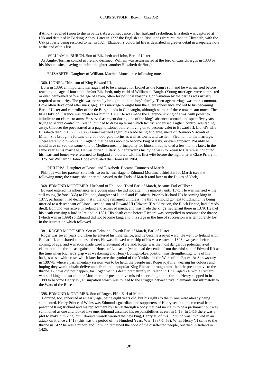d'Amory rebelled (soon to die in battle). As a consequence of her husband's rebellion, Elizabeth was captured at Usk and detained in Barking Abbey. Later in 1322 the English and Irish lands were returned to Elizabeth, with the Usk property being restored to her in 1327. Elizabeth's colourful life is described in greater detail in a separate note at the end of this list.

----- WILLIAM de BURGH. Son of Elizabeth and John, Earl of Ulster.

 As Anglo-Norman control in Ireland declined, William was assassinated at the ford of Carrickfergus in 1333 by his Irish cousins, leaving an infant daughter, another Elizabeth de Burgh.

---- ELIZABETH. Daughter of William. Married Lionel - see following note.

#### 1360. LIONEL. Third son of King Edward III.

 Born in 1339, an important marriage had to be arranged for Lionel as the King's son, and he was married before reaching the age of four to the infant Elizabeth, only child of William de Burgh. (Young marriages were contracted or even performed before the age of seven, often for political reasons. Confirmation by the parties was usually required at maturity. The girl was normally brought up in the boy's family. Teen-age marriage was more common. Love often developed after marriage). This marriage brought him the Clare inheritance and led to his becoming Earl of Ulster and controller of the de Burgh lands in Connaught, although neither of these now meant much. The title Duke of Clarence was created for him in 1362. He was made the Clarenceux king of arms, with power to adjudicate on claims to arms. He served as regent during one of the king's absences abroad, and spent five years trying to secure control in Ireland, but had to draw up terms which tacitly recognised English control was fading away. Chaucer the poet started as a page to Lionel before moving on to become valet to Edward III. Lionel's wife Elizabeth died in 1363. In 1368 Lionel married again, his bride being Violante, niece of Bernabo Visconti of Milan. She brought a fortune of 2,000,000 gold florins as well as towns and castle in Piedmont to the marriage. There were wild rumours in England that he was about to become king of Italy, or even emperor. Possibly he could have carved out some kind of Mediterranean principality for himself, but he died a few months later, in the same year as his marriage. He was buried in Italy, but afterwards his dying wish to return to Clare was honoured: his heart and bones were returned to England and buried with his first wife before the high altar at Clare Priory in 1375. Sir William St John Hope excavated their bones in 1904.

#### ----- PHILIPPA. Daughter of Lionel and Elizabeth. Became Countess of March.

 Philippa was her parents' sole heir, so on her marriage to Edmund Mortimer, third Earl of March (see the following note) the estates she inherited passed to the Earls of March (and later to the Dukes of York).

#### 1368. EDMUND MORTIMER. Husband of Philippa. Third Earl of March, became Earl of Ulster.

 Edward entered his inheritance as a young man - he did not attain his majority until 1373. He was married while still young (before 1368) to Philippa, daughter of Lionel and Elizabeth. Prior to Richard II's becoming king in 1377, parliament had decided that if the king remained childless, the throne should go next to Edmund, he being married to a descendant of Lionel, second son of Edward III (Edward III's eldest son, the Black Prince, had already died). Edmund was active in Ireland and achieved much, and was made the king's lieutenant there in 1379. He met his death crossing a ford in Ireland in 1381. His death came before Richard was compelled to renounce the throne (which was in 1399) so Edmund did not become king, and this stage in the line of succession was temporarily lost in the usurpation which followed.

#### 1381. ROGER MORTIMER. Son of Edmund. Fourth Earl of March, Earl of Ulster.

 Roger was seven years old when he entered his inheritance, and he became a royal ward. He went to Ireland with Richard II, and shared conquests there. He was allowed wardship of his vast estates in 1393, two years before coming of age, and was soon made Lord Lieutenant of Ireland. Roger was the most dangerous potential rival claimant to the throne as against the House of Lancaster (which had descended from the third son of Edward III) at the time when Richard's grip was weakening and Henry Bolingbroke's position was strengthening. One of his badges was a white rose, which later became the symbol of the Yorkists in the Wars of the Roses. At Shrewsbury in 1397-8, where a parliamentary session was to be held, the people met Roger joyfully, wearing his colours and hoping they would obtain deliverance from the unpopular King Richard through him, the heir-presumptive to the throne. But this did not happen, for Roger met his death prematurely in Ireland in 1398, aged 24, while Richard was still king, and so another Mortimer heir-presumptive missed succeeding to the throne. Henry stepped in in 1399 to become Henry IV, a usurpation which was to lead to the struggle between rival claimants and ultimately to the Wars of the Roses.

#### 1398. EDMUND MORTIMER. Son of Roger. Fifth Earl of March.

 Edmund, too, inherited at an early age, being eight years old, but his rights to the throne were already being supplanted. Henry Prince of Wales was Edmund's guardian, and supporters of Henry secured the removal from power of King Richard and his replacement by Henry through a body that had no claim to be a parliament but was summoned as one and looked like one. Edmund assumed his responsibilities as earl in 1413. In 1415 there was a plot to make him king, but Edmund himself warned the new king, Henry V, of this. Edmund was involved in an attack on France c.1418 (this was the period of the Hundred Years War, 1337-1453). When Henry VI came to the throne in 1422 he was a minor, and Edmund remained the hope of the disaffected people, but died in Ireland in 1425.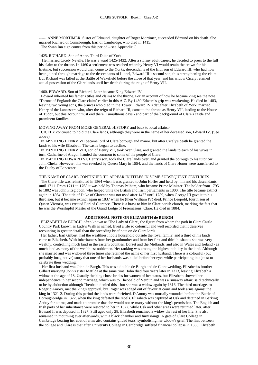----- ANNE MORTIMER. Sister of Edmund, daughter of Roger Mortimer, succeeded Edmund on his death. She married Richard of Conisbrough, Earl of Cambridge, who died in 1415. The Swan Inn sign comes from this period – see Appendix C.

#### 1425. RICHARD. Son of Anne. Third Duke of York.

 He married Cicely Neville. He was a ward 1425-1432. After a stormy adult career, he decided to press to the full his claim to the throne. In 1460 a settlement was reached whereby Henry VI would retain the crown for his lifetime, but succession would then come to the Yorks, descendants of the fifth son of Edward III, who had now been joined through marriage to the descendants of Lionel, Edward III's second son, thus strengthening the claim. But Richard was killed at the Battle of Wakefield before the close of that year, and his widow Cicely retained actual possession of the Clare lands until her death during the reign of Henry VII.

#### 1460. EDWARD. Son of Richard. Later became King Edward IV.

 Edward inherited his father's titles and claims to the throne. For an account of how he became king see the note 'Throne of England: the Clare claim' earlier in this A-Z. By 1480 Edward's grip was weakening. He died in 1483, leaving two young sons, the princes who died in the Tower. Edward IV's daughter Elizabeth of York, married Henry of the Lancasters who, after the reign of Richard III, came to the throne as Henry VII, leading to the House of Tudor, but this account must end there. Tumultuous days - and part of the background of Clare's castle and prominent families.

MOVING AWAY FROM MORE GENERAL HISTORY and back to local affairs:-

 CICELY continued to hold the Clare lands, although they were in the name of her deceased son, Edward IV. (See above).

 In 1495 KING HENRV VII became lord of Clare borough and manor, but after Cicely's death he granted the lands to his wife Elizabeth. The castle began to decline.

 In 1509 KING HENRV VIII, son of Henry VII, took over Clare, and granted the lands to each of his wives in turn. Catharine of Aragon handed the common to some of the people of Clare.

 In 1547 KING EDWARD VI. Henry's son, took the Clare lands over, and granted the borough to his tutor Sir John Cheke. However, this was revoked by Queen Mary in 1554, and the lands of Clare Honor were transferred to the Duchy of Lancaster.

#### THE NAME OF CLARE CONTINUED TO APPEAR IN TITLES IN SOME SUBSEQUENT CENTURIES.

 The Clare title was reinstituted in 1564 when it was granted to John HolIes and held by him and his descendants until 1711. From 1711 to 1768 it was held by Thomas Pelham, who became Prime Minister. The holder from 1795 to 1802 was John Fitzgibbon, who helped unite the British and Irish parliaments in 1800. The title became extinct again in 1864. The title of Duke of Clarence was not used after 1477 until 1789, when George III gave it to his third son, but it became extinct again in 1837 when he (then William IV) died. Prince Leopold, fourth son of Queen Victoria, was created Earl of Clarence. There is a brass to him in Clare parish church, marking the fact that he was the Worshipful Master of the Grand Lodge of Freemasons, Clare. He died in 1884.

#### **ADDITIONAL NOTE ON ELIZABETH de BURGH**

 ELIZABETH de BURGH, often known as 'The Lady of Clare', the figure from whom the path in Clare Castle Country Park known as Lady's Walk is named, lived a life so colourful and well recorded that it deserves recounting in greater detail than the preceding brief note on de Clare lords.

Her father, Earl Gilbert, had the wealthiest noble household outside the royal family, and a third of his lands came to Elizabeth. With inheritances from her grandmother and from her first and third husbands she was very wealthy, controlling much land in the eastern counties, Dorset and the Midlands, and also in Wales and Ireland - as much land as many of the wealthiest noblemen. Her ranking was among the highest nobility in the land. Although she married and was widowed three times she retained the name of her first husband. There is a colourful (but probably imaginative) story that one of her husbands was killed before her eyes while participating in a joust to celebrate their wedding.

 Her first husband was John de Burgh. This was a double de Burgh and de Clare wedding, Elizabeth's brother Gilbert marrying John's sister Matilda at the same time. John died four years later in 1313, leaving Elizabeth a widow at the age of 18. Usually the king chose brides for women of her status, but Elizabeth showed her independence in her second marriage, which was to Theobald of Verdun and was a runaway affair, said technically to be by abduction although Theobald denied this - but she was a widow again by 1316. The third marriage, to Roger d'Amory, met the king's approval, but Roger was edged out of favour at court and took arms against the king in 1321-2. During this period the lands were forfeited. D'Amory was mortally wounded before the Battle of Boroughbridge in 1322, when the king defeated the rebels. Elizabeth was captured at Usk and detained in Barking Abbey for a time, and made to promise that she would not re-marry without the king's permission. The English and Irish parts of her inheritance were restored to her in 1322, while Usk and other areas were returned later, after Edward II was deposed in 1327. Still aged only 28, Elizabeth remained a widow the rest of her life. She also remained in mourning ever afterwards, with a black chamber and furnishings. A gate of Clare College in Cambridge bearing her coat of arms also contains gilded tears, symbolising her widow's grief. The link between the college and Clare is that after University College in Cambridge suffered financial collapse in 1338, Elizabeth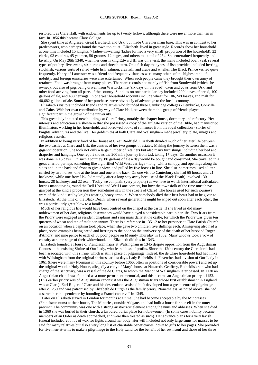restored it as Clare Hall, with endowments for up to twenty fellows, although there were never more than ten in fact. In 1856 this became Clare College.

 She spent time at Anglesey, Great Bardfield, and Usk, but made Clare her main base. This was in contrast to her predecessors, who perhaps found the town too quiet. Elizabeth lived in great style. Records show her household at one time included 15 knights, 7 ladies-in-waiting (ladies formed a very small proportion of the household), 22 clerks, 93 esquires, 45 yeomen, 50 grooms, 12 pages, and others to a total of 254. She entertained frequently and lavishly. On May 28th 1340, when her cousin king Edward III was on a visit, the menu included boar, veal, several types of poultry, five swans, six herons and three bittern. On a fish day the types of fish provided included herring, stockfish, various sorts of salted white fish, salmon, crayfish, and crabs and whelks. The Black Prince visited quite frequently. Henry of Lancaster was a friend and frequent visitor, as were many others of the highest rank of nobility, and foreign emissaries were also entertained. When such people came they brought their own army of retainers. Food was brought from many places. There are records not merely of fish from Southwold (which she owned), but also of pigs being driven from Warwickshire (six days on the road), oxen and cows from Usk, and other food arriving from all parts of the country. Supplies on one particular day included 290 loaves of bread, 100 gallons of ale, and 488 herrings. In one year household accounts include wheat for 106,248 loaves, and malt for 40,682 gallons of ale. Some of her purchases were obviously of advantage to the local economy.

 Elizabeth's visitors included friends and relatives who founded three Cambridge colleges - Pembroke, Gonville and Caius. With her own contribution by way of Clare Hall, between them this group of friends played a significant part in the growth of the university.

 This great lady initiated new buildings at Clare Priory, notably the chapter house, dormitory and refectory. Her interests and education are shown in that she possessed a copy of the Vulgate version of the Bible, had manuscript illuminators working in her household, and borrowed books of romances from the royal collection - stories of knights' adventures and the like. Her goldsmiths at both Clare and Walsingham made jewellery, plate, images and religious vessels.

 In addition to being very fond of her house at Great Bardfield, Elizabeth divided much of her later life between the two castles at Clare and Usk, the centres of her two groups of estates. Making the journey between them was a gigantic operation. She took not only a large number of retainers but also many furnishings including her bed and draperies and hangings. One report shows the 200 mile journey from Usk taking 17 days. On another occasion it was done in 13 days. On such a journey, 80 gallons of ale a day would be bought and consumed. She travelled in a great chariot, perhaps something like a glorified Wild West carriage - long, with a canopy, and openings along the sides and in the back and front to give a view, and pulled by five horses in line. She also sometimes used a litter carried by two horses, one at the front and one at the back. On one visit to Canterbury she had 65 horses and 21 hackneys, while one from Usk (admittedly after a long stay away because of the Black Death) involved 130 horses, 28 hackneys and 22 oxen. Today we complain (very properly) as we have to watch international articulated lorries manoeuvring round the Bell Hotel and Well Lane corners, but how the townsfolk of the time must have gawped at the kind a procession they sometimes saw in the streets of Clare! The horses used for such journeys were of the kind used by knights wearing heavy armour. When somebody died their best beast had to be given to Elizabeth. At the time of the Black Death, when several generations might be wiped out soon after each other, this was a particularly great blow to a family.

 Much of her religious life would have been centred on the chapel at the castle. If she lived as did many noblewomen of her day, religious observances would have played a considerable part in her life. Two friars from the Priory were engaged as resident chaplains and sang mass daily at the castle, for which the Priory was given ten quarters of wheat and ten of malt per annum. There is a reference in 1351-2 to her presence at Clare Parish Church on an occasion when a baptism took place, when she gave two children five shillings each. Almsgiving also had a place, some examples being bread and herrings to the poor on the anniversary of the death of her husband Roger d'Amory, and nine pence to each of 50 poor people on Maundy Thursday in 1352. Many widows took a vow of chastity at some stage of their widowhood, and Elizabeth did this in 1343.

 Elizabeth founded a House of Franciscan friars at Walsingham in 1345 despite opposition from the Augustinian Canons at the existing Shrine of Our Lady, who feared loss of profits. Since the 12th century the Clare lords had been associated with this shrine, which is still a place of pilgrimage. Indeed, the de Clare household had had links with Walsingham from the original shrine's earliest days. Lady Richeldis de Faverches had a vision of Our Lady in 1061 (there were many Normans in this country before 1066, often in positions of considerable power) and set up the original wooden Holy House, allegedly a copy of Mary's house at Nazareth. Geoffrey, Richeldis's son who had charge of the sanctuary, was a vassal of the de Clares, to whom the Manor of Walsingham later passed. In 1130 an Augustinian chapel was founded as a more permanent memorial, and this became an Augustinian priory c.1153. (This earlier priory was of Augustinian canons: it was the Augustinian friars whose first establishment in England was at Clare). Earl Roger of Clare and his descendants assisted it. It developed into a great centre of pilgrimage after c.1250 and was patronised by Elizabeth de Burgh as the family priory. Nonetheless, as noted above, she had asserted her independence by founding a Franciscan 'rival' in 1345.

 Later on Elizabeth stayed in London for months at a time. She had become acceptable by the Minoresses (Franciscan nuns) at their house, The Minories, outside Aldgate, and had built a house for herself in the outer precinct. The community was one with a strong aristocratic element among the nuns and abbesses. When she died in 1360 she was buried in their church, a favoured burial place for noblewomen. (In some cases nobility became members of an Order as death approached, and were then treated as such). Her advance plans for a very lavish funeral included 200 lbs of wax for lights around her body. Her will included not only large sums for masses to be said for many relatives but also a very long list of charitable beneficiaries, down to gifts to her pages. She provided for five men-at-arms to make a pilgrimage to the Holy Land for the benefit of her own soul and those of her three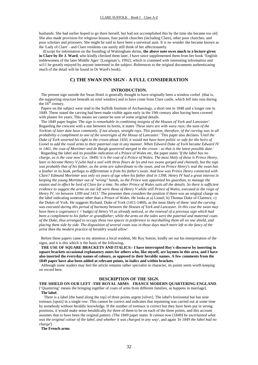husbands. She had earlier hoped to go there herself, but had not accomplished this by the time she became too old. She also made provision for religious houses, four parish churches (including Clare), other poor churches, and poor scholars and prisoners. She might be said to have been a universal aunt. It is no wonder she became known as the 'Lady of Clare' - and Clare residents can surely still think of her affectionately.

 (Except for information on the founding of Walsingham shrine, **the above note owes much to a lecture given in Clare by Dr J. Ward**, who kindly checked them later. I have since supplemented them from her book 'English noblewomen of the later Middle Ages' [Longman's, 1992], which is crammed with interesting information and wi11 be greatly enjoyed by anyone interested in the subject. References to the original documents authenticating much of the detail will be found in Dr Ward's book).

# **C) THE SWAN INN SIGN - A FULL CONSIDERATION**

#### **INTRODUCTION.**

 The present sign outside the Swan Hotel is generally thought to have originally been a window corbel (that is, the supporting structure beneath an oriel window) and to have come from Clare castle, which fell into ruin during the  $16<sup>th</sup>$  century.

 Papers on the subject were read to the Suffolk Institute of Archaeology, a short one in 1848 and a longer one in 1849. These stated the carving had been made visible again early in the 19th century after having been covered with plaster for years. This means we cannot be sure of some original details.

 The 1849 paper begins *'The sign is remarkable in combining insignia of the Houses of York and Lancaster'*. Regarding the crescent with a star between its horns, it states *'These stars are with wavy rays; the suns of the Yorkists of later date have commonly, if not always, straight rays. This portion, therefore, of the carving was in all probability a compliment to one of the sovereigns of the House of Lancaster*.' This paper also declares *'Until the Duke of York asserted his right to the crown about 1450, it would not have been politic or safe for the heirs of Lionel to add the royal arms to their paternal coat in any manner. When Edward Duke of York became Edward IV in 1461, the coat of Mortimer and de Burgh quartered merged in the crown - so that is the latest possible date*.'

 Regarding the label and its possible indication of a Prince of Wales etc, the paper states *'If the label has no charge, as is the case now'* (i.e. 1849) *'it is the coat of a Prince of Wales. The most likely of these is Prince Henry, later to become Henry V (who had a seal with three fleurs de lys and two swans gorged and chained), but the sign was probably that of his father, as the arms are subordinate to the swan, and on Prince Henry's seal the swan has a feather in its beak, perhaps to differentiate it from his father's swan. And how was Prince Henry connected with Clare? Edmund Mortimer was only six years of age when his father died in 1398; Henry IV had a great interest in keeping the young Mortimer out of "wrong" hands, so the Prince was appointed his guardian, to manage the estates and in effect be lord of Clare for a time. No other Prince of Wales suits all the details. So there is sufficient evidence to suggest the arms on our left were those of Henry V while still Prince of Wales, executed in the reign of Henry IV, viz between 1399 and 1413*.' The presenter then considers the position if there was an original charge on the label indicating someone other than a Prince of Wales. He looks at a) Lionel, b) Thomas Duke of Clarence, c) the Dukes of York. He suggests Richard, Duke of York (1411-1460), as the most likely of these *'and the carving was executed during this period of harmony between the Houses of York and Lancaster. In this case the swan may have been a cognisance* ( = badge*) of Henry VI as already noticed, or the renewal of a previous sign which had been a compliment to his father or grandfather; while the arms on the sides were the paternal and maternal coats of the Duke, thus arranged to occupy these two spaces in preference to marshalling them all on one shield, and placing them side by side. The disposition of several coats was in those days much more left to the fancy of the artist than the modern practice of heraldry would allow'.* 

Before these papers came to my attention a local resident, Mr Roy Sutton, kindly set out his interpretation of the signs, and it is this which is the basis of the following**.** 

 **THE USE OF SQUARE BRACKETS AND ITALICS:- I have interrupted Roy's discourse by inserting in square brackets occasional explanatory notes for others who, like myself, are laymen in this area, and I have also inserted the everyday names of colours, as opposed to their heraldic names. A few comments from the 1849 paper have also been added at relevant points, in italics and within brackets**.

 Although some readers may feel the article remains rather specialist in character, its points seem worth keeping on record here.

#### **DESCRIPTION OF THE SIGN.**

**THE SHIELD ON OUR LEFT -THE ROYAL ARMS**: **FRANCE MODERN QUARTERING ENGLAND**.

['Quartering' means the bringing together of coats of arms from different families, as happens in marriage]. **The label**.

 There is a label [the band along the top] of three points argent [silver]. The label's horizontal bar has nine torteaux [spots] in a single row. This cannot be correct and indicates that repainting was carried out at some time by somebody without heraldic knowledge. If the number of torteaux is correct but they have been put in wrong positions, it would make sense heraldically for three of them to be on each of the three points, and this account assumes that to have been the original pattern. (The 1849 paper states *'It cannot now* [1849] *be ascertained what was the original colour of the label, and whether it was charged in any way'*, and again *'In 1849 the label had no charge'*)

 **The French arms**.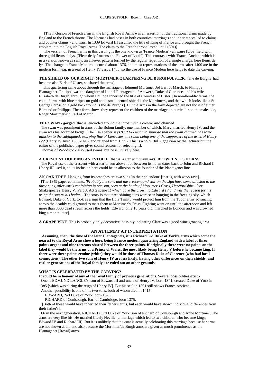[The inclusion of French arms in the English Royal Arms was an assertion of the traditional claim made by England to the French throne. The Normans had bases in both countries: marriages and inheritances led to claims and counter claims - and wars. In 1339 Edward III assumed the title of King of France and brought the French emblem into the English Royal Arms. The claim to the French throne lasted until 1801)]

 The version of French arms in this carving is the one known as 'France Modern' - an azure [blue] field with three gold fleurs de lys. ['Fleur de lys' means 'the Flower of Louis']. This contrasts with 'France Ancient' which is in a version known as semy, an all-over pattern formed by the regular repetition of a single charge, here fleurs de lys. The change to France Modern occurred about 1376, and most representations of the arms after 1400 are in the modern form, e.g. in a seal of Henry IV cast c.1405, so the use of France Modern here helps to date the carving.

# **THE SHIELD ON OUR RIGHT: MORTIMER QUARTERING DE BURGH/ULSTER**. [The de Burghs had

become also Earls of Ulster, so shared the arms].

 This quartering came about through the marriage of Edmund Mortimer 3rd Earl of March, to Philippa Plantagenet. Philippa was the daughter of Lionel Plantagenet of Antwerp, Duke of Clarence, and his wife Elizabeth de Burgh, through whom Philippa inherited the title of Countess of Ulster. [In non-heraldic terms, the coat of arms with blue stripes on gold and a small central shield is the Mortimers', and that which looks like a St George's cross on a gold background is the de Burghs']. But the arms in the form depicted are not those of either Edmund or Philippa. Their form shows they represent the children of the marriage, in particular on the male side, Roger Mortimer 4th Earl of March.

#### **THE SWAN** - **gorged** [that is, encircled around the throat with a crown] **and chained**.

 The swan was prominent in arms of the Bohun family, one member of which, Mary, married Henry IV, and the swan was his accepted badge. [The 1849 paper says *'Is it too much to suppose that the swan chained has some allusion to the subjugated, usurping line of Lancaster, the swan being one of the supporters of the arms of Henry IV?* (Henry IV lived 1366-1413, and reigned from 1399). This is a colourful suggestion by the lecturer but the editor of the published paper gives sound reasons for rejecting it].

Thomas of Woodstock also used swans, but he is unlikely here.

#### **A CRESCENT HOLDING AN ESTOILE** [that is, a star with wavy rays] **BETWEEN ITS HORNS**.

 The Royal use of the crescent with a star or sun above it or between its horns dates back to John and Richard I. Henry III used it, so its inclusion here could be an allusion to the founder of the Plantagenet line.

**AN OAK TREE**. Hanging from its branches are two suns 'in their splendour' [that is, with wavy rays]. [The 1849 paper comments, *'Probably the suns and the crescent and star on the sign have some allusion to the three suns, afterwards conjoining in one sun, seen at the battle of Mortimer's Cross, Herefordshire'* (see Shakespeare's Henry VI Part 3, Act 2 scene 1) *which gave the crown to Edward IV and was the reason for his using the sun as his badge'*. The story is that three shining suns were seen hanging in the freezing sky, which Edward, Duke of York, took as a sign that the Holy Trinity would protect him from the Tudor army advancing across the deathly cold ground to meet them at Mortimer's Cross. Fighting went on until the afternoon and left more than 3000 dead strewn across the fields. Edward, only 18 years old, marched to London and was crowned king a month later].

**A GRAPE VINE**. This is probably only decorative, possibly indicating Clare was a good wine growing area.

### **AN ATTEMPT AT INTERPRETATION**

 **Assuming, then, the time of the later Plantagenets, it is Richard 3rd Duke of York's arms which come the nearest to the Royal Arms shown here, being France modern quartering England with a label of three points argent and nine torteaux shared between the three points. If originally there were no points on the label they would be the arms of a Prince of Wales, the most likely being Henry V before he became king. If there were three points ermine (white) they would be those of Thomas Duke of Clarence (who had local connections). The other two sons of Henry IV are less likely, having other differences on their shields; and earlier generations of the Royal family are ruled out on other grounds.** 

#### **WHAT IS CELEBRATED BY THE CARVING?**

**It could be in honour of any of the royal family of previous generations**. Several possibilities exist:- One is EDMUND LANGLEY, son of Edward III and uncle of Henry IV, born 1341, created Duke of York in 1385 [which was during the reign of Henry IV]. But his seal in 1391 still shows France Ancient. Another possibility is one of his two sons, both of whom died in 1415:

EDWARD, 2nd Duke of York, born 1373.

RICHARD of Conisburgh, Earl of Cambridge, born 1375.

 [Both of these would have inherited their father's arms, but each would have shown individual differences from their father's].

 Or in the next generation, RICHARD, 3rd Duke of York, son of Richard of Conisburgh and Anne Mortimer. The arms are very like his. He married Cicely Neville [a marriage which led to two children who became kings, Edward IV and Richard III]. But it is unlikely that the coat is actually celebrating this marriage because her arms are not shown at all, and also because the Mortimer/de Burgh arms are given as much prominence as the Plantagenet [Royal] arms.